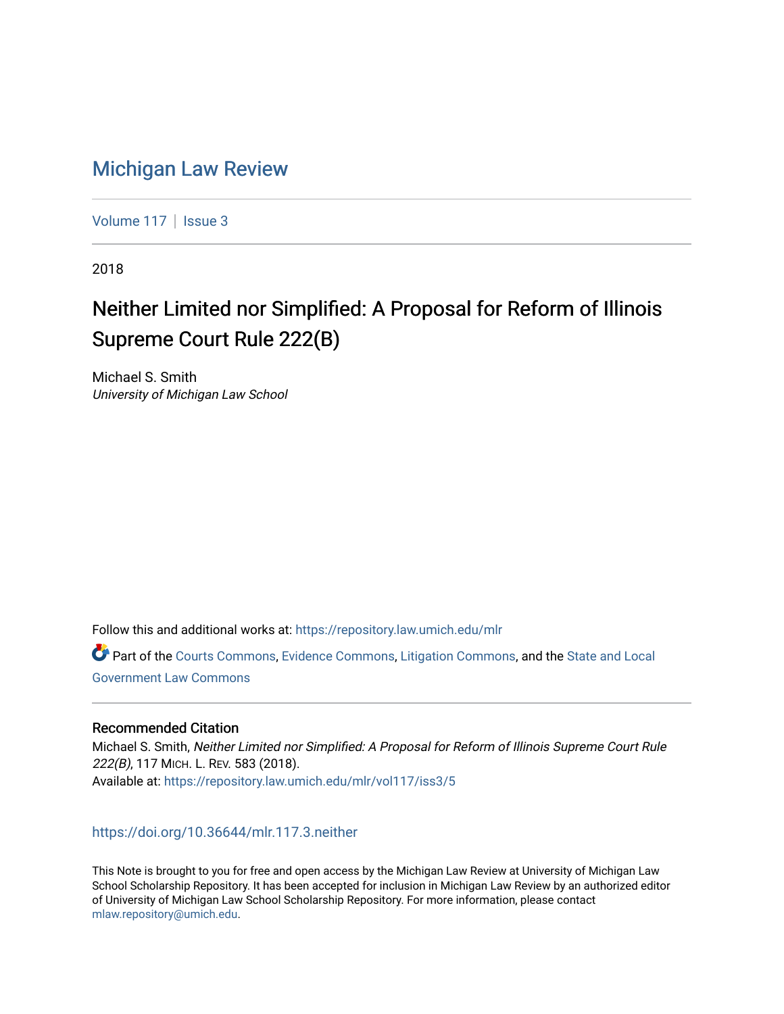# [Michigan Law Review](https://repository.law.umich.edu/mlr)

[Volume 117](https://repository.law.umich.edu/mlr/vol117) | [Issue 3](https://repository.law.umich.edu/mlr/vol117/iss3)

2018

# Neither Limited nor Simplified: A Proposal for Reform of Illinois Supreme Court Rule 222(B)

Michael S. Smith University of Michigan Law School

Follow this and additional works at: [https://repository.law.umich.edu/mlr](https://repository.law.umich.edu/mlr?utm_source=repository.law.umich.edu%2Fmlr%2Fvol117%2Fiss3%2F5&utm_medium=PDF&utm_campaign=PDFCoverPages) 

Part of the [Courts Commons,](http://network.bepress.com/hgg/discipline/839?utm_source=repository.law.umich.edu%2Fmlr%2Fvol117%2Fiss3%2F5&utm_medium=PDF&utm_campaign=PDFCoverPages) [Evidence Commons](http://network.bepress.com/hgg/discipline/601?utm_source=repository.law.umich.edu%2Fmlr%2Fvol117%2Fiss3%2F5&utm_medium=PDF&utm_campaign=PDFCoverPages), [Litigation Commons,](http://network.bepress.com/hgg/discipline/910?utm_source=repository.law.umich.edu%2Fmlr%2Fvol117%2Fiss3%2F5&utm_medium=PDF&utm_campaign=PDFCoverPages) and the [State and Local](http://network.bepress.com/hgg/discipline/879?utm_source=repository.law.umich.edu%2Fmlr%2Fvol117%2Fiss3%2F5&utm_medium=PDF&utm_campaign=PDFCoverPages)  [Government Law Commons](http://network.bepress.com/hgg/discipline/879?utm_source=repository.law.umich.edu%2Fmlr%2Fvol117%2Fiss3%2F5&utm_medium=PDF&utm_campaign=PDFCoverPages) 

## Recommended Citation

Michael S. Smith, Neither Limited nor Simplified: A Proposal for Reform of Illinois Supreme Court Rule 222(B), 117 MICH. L. REV. 583 (2018). Available at: [https://repository.law.umich.edu/mlr/vol117/iss3/5](https://repository.law.umich.edu/mlr/vol117/iss3/5?utm_source=repository.law.umich.edu%2Fmlr%2Fvol117%2Fiss3%2F5&utm_medium=PDF&utm_campaign=PDFCoverPages) 

## <https://doi.org/10.36644/mlr.117.3.neither>

This Note is brought to you for free and open access by the Michigan Law Review at University of Michigan Law School Scholarship Repository. It has been accepted for inclusion in Michigan Law Review by an authorized editor of University of Michigan Law School Scholarship Repository. For more information, please contact [mlaw.repository@umich.edu.](mailto:mlaw.repository@umich.edu)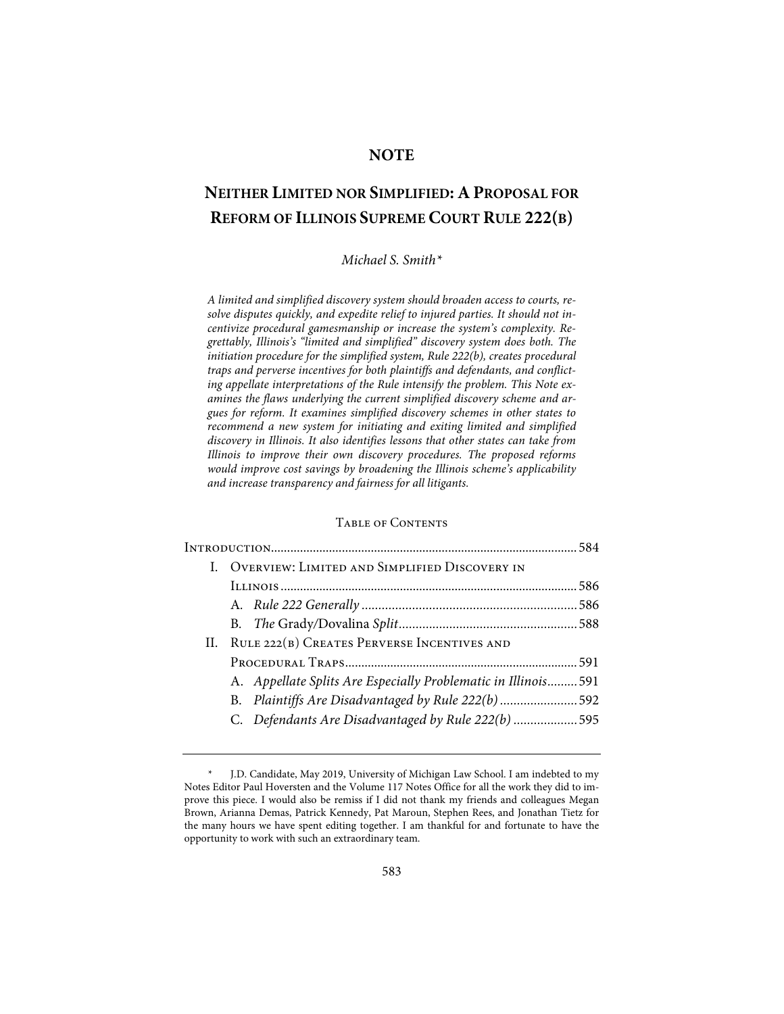# **NOTE**

# **NEITHER LIMITED NOR SIMPLIFIED: A PROPOSAL FOR REFORM OF ILLINOIS SUPREME COURT RULE 222(B)**

#### *Michael S. Smith\**

*A limited and simplified discovery system should broaden access to courts, resolve disputes quickly, and expedite relief to injured parties. It should not incentivize procedural gamesmanship or increase the system's complexity. Regrettably, Illinois's "limited and simplified" discovery system does both. The initiation procedure for the simplified system, Rule 222(b), creates procedural traps and perverse incentives for both plaintiffs and defendants, and conflicting appellate interpretations of the Rule intensify the problem. This Note examines the flaws underlying the current simplified discovery scheme and argues for reform. It examines simplified discovery schemes in other states to recommend a new system for initiating and exiting limited and simplified discovery in Illinois. It also identifies lessons that other states can take from Illinois to improve their own discovery procedures. The proposed reforms would improve cost savings by broadening the Illinois scheme's applicability and increase transparency and fairness for all litigants.* 

### Table of Contents

|  | I. OVERVIEW: LIMITED AND SIMPLIFIED DISCOVERY IN               |  |  |  |  |
|--|----------------------------------------------------------------|--|--|--|--|
|  |                                                                |  |  |  |  |
|  |                                                                |  |  |  |  |
|  |                                                                |  |  |  |  |
|  | II. RULE 222(B) CREATES PERVERSE INCENTIVES AND                |  |  |  |  |
|  |                                                                |  |  |  |  |
|  | A. Appellate Splits Are Especially Problematic in Illinois 591 |  |  |  |  |
|  | B. Plaintiffs Are Disadvantaged by Rule 222(b) 592             |  |  |  |  |
|  | C. Defendants Are Disadvantaged by Rule 222(b) 595             |  |  |  |  |
|  |                                                                |  |  |  |  |

<sup>\*</sup> J.D. Candidate, May 2019, University of Michigan Law School. I am indebted to my Notes Editor Paul Hoversten and the Volume 117 Notes Office for all the work they did to improve this piece. I would also be remiss if I did not thank my friends and colleagues Megan Brown, Arianna Demas, Patrick Kennedy, Pat Maroun, Stephen Rees, and Jonathan Tietz for the many hours we have spent editing together. I am thankful for and fortunate to have the opportunity to work with such an extraordinary team.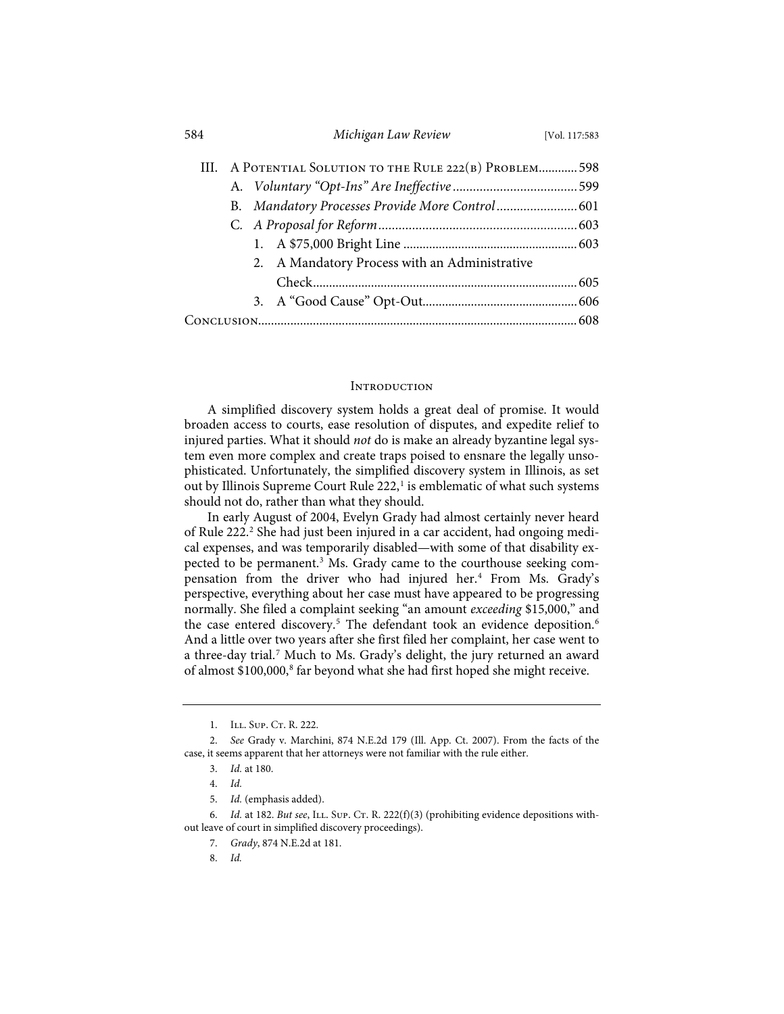| 584 |  | Michigan Law Review                                     | [Vol. 117:583 |
|-----|--|---------------------------------------------------------|---------------|
|     |  | III. A POTENTIAL SOLUTION TO THE RULE 222(B) PROBLEM598 |               |
|     |  |                                                         |               |
|     |  |                                                         |               |
|     |  |                                                         |               |
|     |  |                                                         |               |
|     |  | 2. A Mandatory Process with an Administrative           |               |
|     |  |                                                         |               |
|     |  |                                                         |               |
|     |  |                                                         |               |

#### **INTRODUCTION**

A simplified discovery system holds a great deal of promise. It would broaden access to courts, ease resolution of disputes, and expedite relief to injured parties. What it should *not* do is make an already byzantine legal system even more complex and create traps poised to ensnare the legally unsophisticated. Unfortunately, the simplified discovery system in Illinois, as set out by Illinois Supreme Court Rule  $222$ ,<sup>1</sup> is emblematic of what such systems should not do, rather than what they should.

In early August of 2004, Evelyn Grady had almost certainly never heard of Rule 222.<sup>2</sup> She had just been injured in a car accident, had ongoing medical expenses, and was temporarily disabled—with some of that disability expected to be permanent.<sup>3</sup> Ms. Grady came to the courthouse seeking compensation from the driver who had injured her.<sup>4</sup> From Ms. Grady's perspective, everything about her case must have appeared to be progressing normally. She filed a complaint seeking "an amount *exceeding* \$15,000," and the case entered discovery.<sup>5</sup> The defendant took an evidence deposition.<sup>6</sup> And a little over two years after she first filed her complaint, her case went to a three-day trial.<sup>7</sup> Much to Ms. Grady's delight, the jury returned an award of almost \$100,000,<sup>8</sup> far beyond what she had first hoped she might receive.

<sup>1.</sup> ILL. SUP. CT. R. 222.

<sup>2.</sup> *See* Grady v. Marchini, 874 N.E.2d 179 (Ill. App. Ct. 2007). From the facts of the case, it seems apparent that her attorneys were not familiar with the rule either.

<sup>3.</sup> *Id.* at 180.

<sup>4.</sup> *Id.*

<sup>5.</sup> *Id.* (emphasis added).

<sup>6.</sup> *Id.* at 182. *But see*, ILL. SUP. Cr. R. 222(f)(3) (prohibiting evidence depositions without leave of court in simplified discovery proceedings).

<sup>7.</sup> *Grady*, 874 N.E.2d at 181.

<sup>8.</sup> *Id.*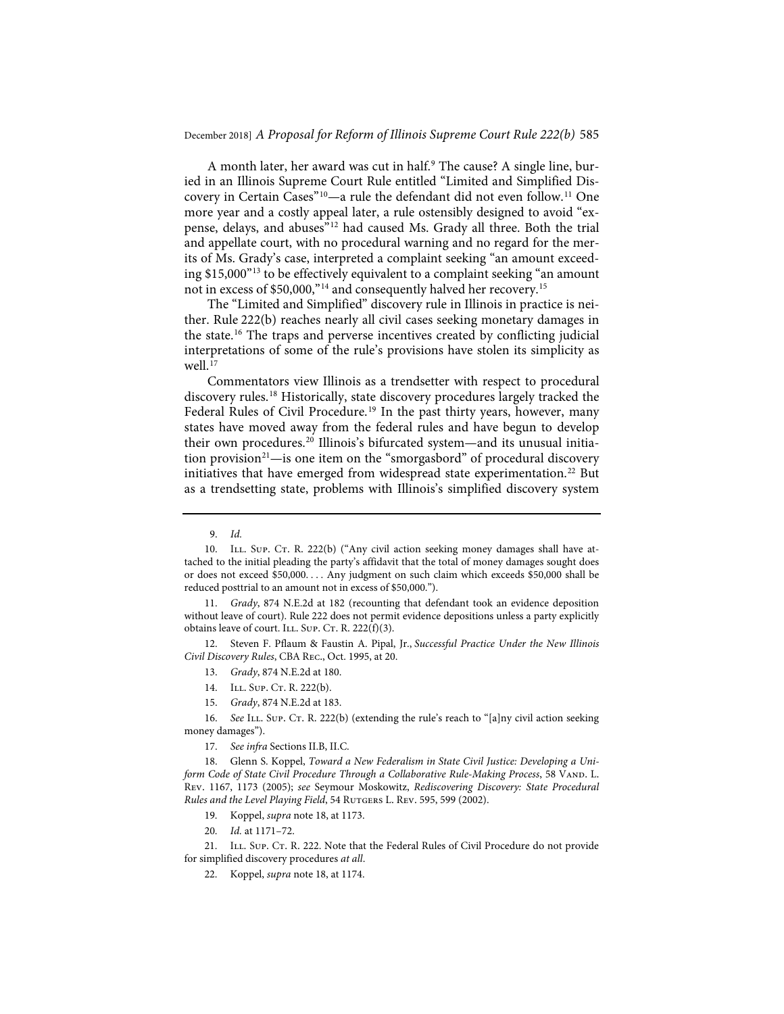A month later, her award was cut in half.<sup>9</sup> The cause? A single line, buried in an Illinois Supreme Court Rule entitled "Limited and Simplified Discovery in Certain Cases"<sup>10</sup>-a rule the defendant did not even follow.<sup>11</sup> One more year and a costly appeal later, a rule ostensibly designed to avoid "expense, delays, and abuses"12 had caused Ms. Grady all three. Both the trial and appellate court, with no procedural warning and no regard for the merits of Ms. Grady's case, interpreted a complaint seeking "an amount exceeding \$15,000"13 to be effectively equivalent to a complaint seeking "an amount not in excess of \$50,000,"14 and consequently halved her recovery.15

The "Limited and Simplified" discovery rule in Illinois in practice is neither. Rule 222(b) reaches nearly all civil cases seeking monetary damages in the state.16 The traps and perverse incentives created by conflicting judicial interpretations of some of the rule's provisions have stolen its simplicity as well.<sup>17</sup>

Commentators view Illinois as a trendsetter with respect to procedural discovery rules.18 Historically, state discovery procedures largely tracked the Federal Rules of Civil Procedure.<sup>19</sup> In the past thirty years, however, many states have moved away from the federal rules and have begun to develop their own procedures.<sup>20</sup> Illinois's bifurcated system—and its unusual initiation provision<sup>21</sup>—is one item on the "smorgasbord" of procedural discovery initiatives that have emerged from widespread state experimentation.<sup>22</sup> But as a trendsetting state, problems with Illinois's simplified discovery system

11. *Grady*, 874 N.E.2d at 182 (recounting that defendant took an evidence deposition without leave of court). Rule 222 does not permit evidence depositions unless a party explicitly obtains leave of court. ILL. Sup. Cr. R.  $222(f)(3)$ .

12. Steven F. Pflaum & Faustin A. Pipal, Jr., *Successful Practice Under the New Illinois Civil Discovery Rules*, CBA Rec., Oct. 1995, at 20.

13. *Grady*, 874 N.E.2d at 180.

14. ILL. SUP. CT. R. 222(b).

16. See ILL. Sup. Ct. R. 222(b) (extending the rule's reach to "[a]ny civil action seeking money damages").

17. *See infra* Sections II.B, II.C.

18. Glenn S. Koppel, *Toward a New Federalism in State Civil Justice: Developing a Uniform Code of State Civil Procedure Through a Collaborative Rule-Making Process*, 58 VAND. L. Rev. 1167, 1173 (2005); *see* Seymour Moskowitz, *Rediscovering Discovery: State Procedural Rules and the Level Playing Field*, 54 Rutgers L. Rev. 595, 599 (2002).

- 19. Koppel, *supra* note 18, at 1173.
- 20. *Id.* at 1171–72.

21. ILL. SUP. Cr. R. 222. Note that the Federal Rules of Civil Procedure do not provide for simplified discovery procedures *at all*.

22. Koppel, *supra* note 18, at 1174.

<sup>9.</sup> *Id.*

<sup>10.</sup> ILL. Sup. Cr. R. 222(b) ("Any civil action seeking money damages shall have attached to the initial pleading the party's affidavit that the total of money damages sought does or does not exceed \$50,000. . . . Any judgment on such claim which exceeds \$50,000 shall be reduced posttrial to an amount not in excess of \$50,000.").

<sup>15.</sup> *Grady*, 874 N.E.2d at 183.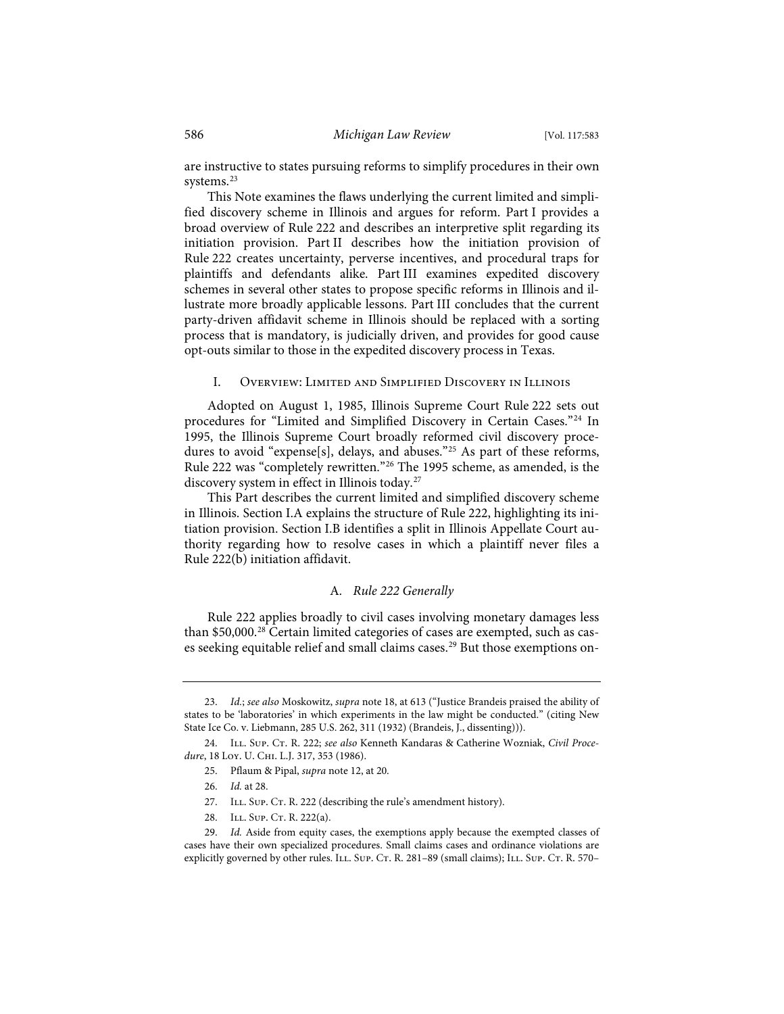are instructive to states pursuing reforms to simplify procedures in their own systems.<sup>23</sup>

This Note examines the flaws underlying the current limited and simplified discovery scheme in Illinois and argues for reform. Part I provides a broad overview of Rule 222 and describes an interpretive split regarding its initiation provision. Part II describes how the initiation provision of Rule 222 creates uncertainty, perverse incentives, and procedural traps for plaintiffs and defendants alike. Part III examines expedited discovery schemes in several other states to propose specific reforms in Illinois and illustrate more broadly applicable lessons. Part III concludes that the current party-driven affidavit scheme in Illinois should be replaced with a sorting process that is mandatory, is judicially driven, and provides for good cause opt-outs similar to those in the expedited discovery process in Texas.

#### I. Overview: Limited and Simplified Discovery in Illinois

Adopted on August 1, 1985, Illinois Supreme Court Rule 222 sets out procedures for "Limited and Simplified Discovery in Certain Cases."<sup>24</sup> In 1995, the Illinois Supreme Court broadly reformed civil discovery procedures to avoid "expense[s], delays, and abuses."<sup>25</sup> As part of these reforms, Rule 222 was "completely rewritten."26 The 1995 scheme, as amended, is the discovery system in effect in Illinois today.27

This Part describes the current limited and simplified discovery scheme in Illinois. Section I.A explains the structure of Rule 222, highlighting its initiation provision. Section I.B identifies a split in Illinois Appellate Court authority regarding how to resolve cases in which a plaintiff never files a Rule 222(b) initiation affidavit.

#### A*. Rule 222 Generally*

Rule 222 applies broadly to civil cases involving monetary damages less than \$50,000.<sup>28</sup> Certain limited categories of cases are exempted, such as cases seeking equitable relief and small claims cases.<sup>29</sup> But those exemptions on-

- 27. ILL. Sup. CT. R. 222 (describing the rule's amendment history).
- 28. ILL. SUP. CT. R. 222(a).

<sup>23.</sup> *Id.*; *see also* Moskowitz, *supra* note 18, at 613 ("Justice Brandeis praised the ability of states to be 'laboratories' in which experiments in the law might be conducted." (citing New State Ice Co. v. Liebmann, 285 U.S. 262, 311 (1932) (Brandeis, J., dissenting))).

<sup>24.</sup> ILL. Sup. Cr. R. 222; *see also* Kenneth Kandaras & Catherine Wozniak, *Civil Procedure*, 18 Loy. U. Chi. L.J. 317, 353 (1986).

<sup>25.</sup> Pflaum & Pipal, *supra* note 12, at 20.

<sup>26.</sup> *Id.* at 28.

<sup>29.</sup> *Id.* Aside from equity cases, the exemptions apply because the exempted classes of cases have their own specialized procedures. Small claims cases and ordinance violations are explicitly governed by other rules. ILL. Sup. Cr. R. 281-89 (small claims); ILL. Sup. Cr. R. 570–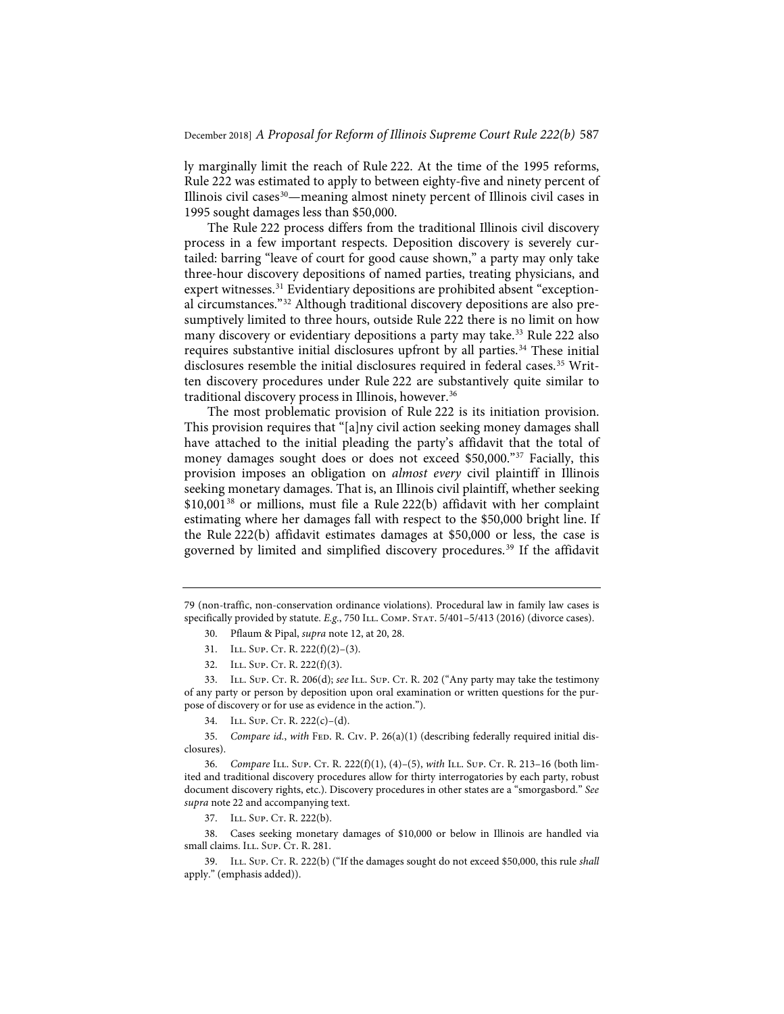ly marginally limit the reach of Rule 222. At the time of the 1995 reforms, Rule 222 was estimated to apply to between eighty-five and ninety percent of Illinois civil cases<sup>30</sup>—meaning almost ninety percent of Illinois civil cases in 1995 sought damages less than \$50,000.

The Rule 222 process differs from the traditional Illinois civil discovery process in a few important respects. Deposition discovery is severely curtailed: barring "leave of court for good cause shown," a party may only take three-hour discovery depositions of named parties, treating physicians, and expert witnesses.<sup>31</sup> Evidentiary depositions are prohibited absent "exceptional circumstances."32 Although traditional discovery depositions are also presumptively limited to three hours, outside Rule 222 there is no limit on how many discovery or evidentiary depositions a party may take.<sup>33</sup> Rule 222 also requires substantive initial disclosures upfront by all parties.<sup>34</sup> These initial disclosures resemble the initial disclosures required in federal cases.<sup>35</sup> Written discovery procedures under Rule 222 are substantively quite similar to traditional discovery process in Illinois, however.36

The most problematic provision of Rule 222 is its initiation provision. This provision requires that "[a]ny civil action seeking money damages shall have attached to the initial pleading the party's affidavit that the total of money damages sought does or does not exceed \$50,000."37 Facially, this provision imposes an obligation on *almost every* civil plaintiff in Illinois seeking monetary damages. That is, an Illinois civil plaintiff, whether seeking \$10,001<sup>38</sup> or millions, must file a Rule 222(b) affidavit with her complaint estimating where her damages fall with respect to the \$50,000 bright line. If the Rule 222(b) affidavit estimates damages at \$50,000 or less, the case is governed by limited and simplified discovery procedures.39 If the affidavit

37. ILL. SUP. CT. R. 222(b).

38. Cases seeking monetary damages of \$10,000 or below in Illinois are handled via small claims. ILL. Sup. CT. R. 281.

39. Ill. Sup. Ct. R. 222(b) ("If the damages sought do not exceed \$50,000, this rule *shall* apply." (emphasis added)).

<sup>79 (</sup>non-traffic, non-conservation ordinance violations). Procedural law in family law cases is specifically provided by statute. *E.g.*, 750 ILL. Сомр. Sтат. 5/401-5/413 (2016) (divorce cases).

<sup>30.</sup> Pflaum & Pipal, *supra* note 12, at 20, 28.

<sup>31.</sup> ILL. SUP. CT. R. 222(f)(2)-(3).

<sup>32.</sup> ILL. SUP. CT. R. 222(f)(3).

<sup>33.</sup> ILL. SUP. CT. R. 206(d); see ILL. SUP. CT. R. 202 ("Any party may take the testimony of any party or person by deposition upon oral examination or written questions for the purpose of discovery or for use as evidence in the action.").

<sup>34.</sup> ILL. SUP. CT. R.  $222(c) - (d)$ .

<sup>35.</sup> *Compare id.*, *with* FED. R. Civ. P. 26(a)(1) (describing federally required initial disclosures).

<sup>36.</sup> *Compare ILL. Sup. CT. R. 222(f)(1), (4)-(5), with ILL. Sup. CT. R. 213-16 (both lim*ited and traditional discovery procedures allow for thirty interrogatories by each party, robust document discovery rights, etc.). Discovery procedures in other states are a "smorgasbord." *See supra* note 22 and accompanying text.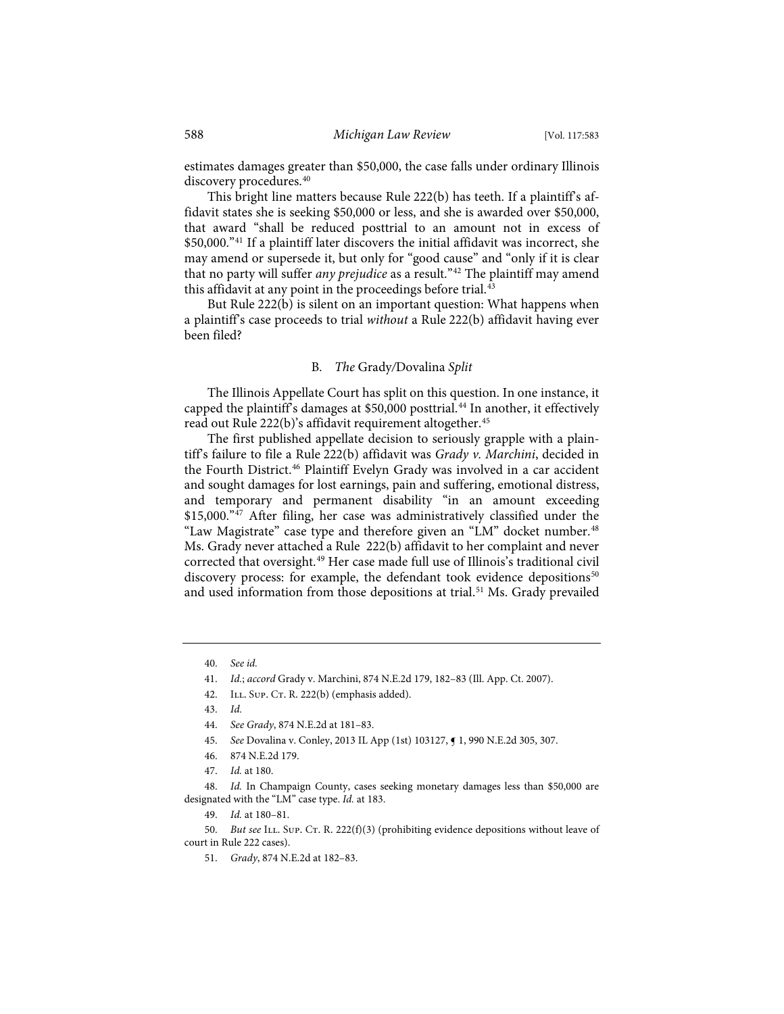estimates damages greater than \$50,000, the case falls under ordinary Illinois discovery procedures.<sup>40</sup>

This bright line matters because Rule 222(b) has teeth. If a plaintiff's affidavit states she is seeking \$50,000 or less, and she is awarded over \$50,000, that award "shall be reduced posttrial to an amount not in excess of \$50,000."41 If a plaintiff later discovers the initial affidavit was incorrect, she may amend or supersede it, but only for "good cause" and "only if it is clear that no party will suffer *any prejudice* as a result."<sup>42</sup> The plaintiff may amend this affidavit at any point in the proceedings before trial.<sup>43</sup>

But Rule 222(b) is silent on an important question: What happens when a plaintiff's case proceeds to trial *without* a Rule 222(b) affidavit having ever been filed?

#### B*. The* Grady*/*Dovalina *Split*

The Illinois Appellate Court has split on this question. In one instance, it capped the plaintiff's damages at \$50,000 posttrial.<sup>44</sup> In another, it effectively read out Rule 222(b)'s affidavit requirement altogether.<sup>45</sup>

The first published appellate decision to seriously grapple with a plaintiff's failure to file a Rule 222(b) affidavit was *Grady v. Marchini*, decided in the Fourth District.<sup>46</sup> Plaintiff Evelyn Grady was involved in a car accident and sought damages for lost earnings, pain and suffering, emotional distress, and temporary and permanent disability "in an amount exceeding \$15,000."<sup>47</sup> After filing, her case was administratively classified under the "Law Magistrate" case type and therefore given an "LM" docket number.<sup>48</sup> Ms. Grady never attached a Rule 222(b) affidavit to her complaint and never corrected that oversight.<sup>49</sup> Her case made full use of Illinois's traditional civil discovery process: for example, the defendant took evidence depositions<sup>50</sup> and used information from those depositions at trial.<sup>51</sup> Ms. Grady prevailed

<sup>40.</sup> *See id.*

<sup>41.</sup> *Id.*; *accord* Grady v. Marchini, 874 N.E.2d 179, 182–83 (Ill. App. Ct. 2007).

<sup>42.</sup> ILL. SUP. CT. R. 222(b) (emphasis added).

<sup>43.</sup> *Id.*

<sup>44.</sup> *See Grady*, 874 N.E.2d at 181–83.

<sup>45.</sup> *See* Dovalina v. Conley, 2013 IL App (1st) 103127, ¶ 1, 990 N.E.2d 305, 307.

<sup>46. 874</sup> N.E.2d 179.

<sup>47.</sup> *Id.* at 180.

<sup>48.</sup> *Id.* In Champaign County, cases seeking monetary damages less than \$50,000 are designated with the "LM" case type. *Id.* at 183.

<sup>49.</sup> *Id.* at 180–81.

<sup>50.</sup> *But see* ILL. SUP. Cr. R. 222(f)(3) (prohibiting evidence depositions without leave of court in Rule 222 cases).

<sup>51.</sup> *Grady*, 874 N.E.2d at 182–83.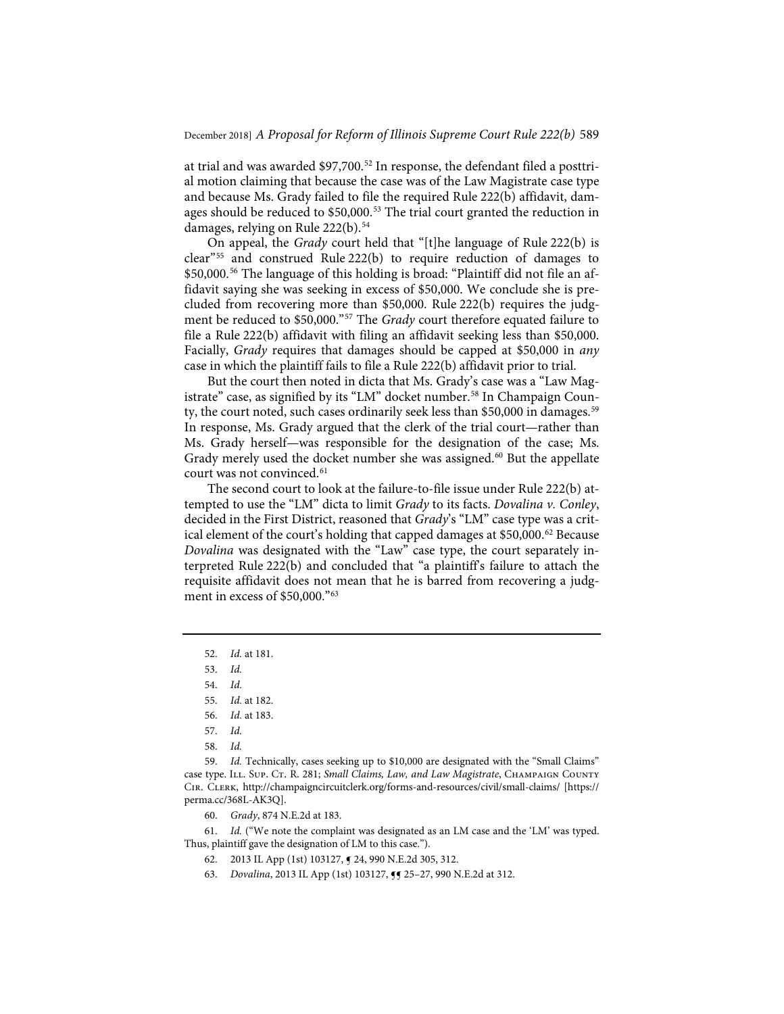at trial and was awarded \$97,700.<sup>52</sup> In response, the defendant filed a posttrial motion claiming that because the case was of the Law Magistrate case type and because Ms. Grady failed to file the required Rule 222(b) affidavit, damages should be reduced to \$50,000.<sup>53</sup> The trial court granted the reduction in damages, relying on Rule 222(b).<sup>54</sup>

On appeal, the *Grady* court held that "[t]he language of Rule 222(b) is clear"55 and construed Rule 222(b) to require reduction of damages to \$50,000.<sup>56</sup> The language of this holding is broad: "Plaintiff did not file an affidavit saying she was seeking in excess of \$50,000. We conclude she is precluded from recovering more than \$50,000. Rule 222(b) requires the judgment be reduced to \$50,000."57 The *Grady* court therefore equated failure to file a Rule 222(b) affidavit with filing an affidavit seeking less than \$50,000. Facially, *Grady* requires that damages should be capped at \$50,000 in *any* case in which the plaintiff fails to file a Rule 222(b) affidavit prior to trial.

But the court then noted in dicta that Ms. Grady's case was a "Law Magistrate" case, as signified by its "LM" docket number.<sup>58</sup> In Champaign County, the court noted, such cases ordinarily seek less than \$50,000 in damages.<sup>59</sup> In response, Ms. Grady argued that the clerk of the trial court—rather than Ms. Grady herself—was responsible for the designation of the case; Ms. Grady merely used the docket number she was assigned.<sup>60</sup> But the appellate court was not convinced.<sup>61</sup>

The second court to look at the failure-to-file issue under Rule 222(b) attempted to use the "LM" dicta to limit *Grady* to its facts. *Dovalina v. Conley*, decided in the First District, reasoned that *Grady*'s "LM" case type was a critical element of the court's holding that capped damages at \$50,000.<sup>62</sup> Because *Dovalina* was designated with the "Law" case type, the court separately interpreted Rule 222(b) and concluded that "a plaintiff's failure to attach the requisite affidavit does not mean that he is barred from recovering a judgment in excess of \$50,000."<sup>63</sup>

59. *Id.* Technically, cases seeking up to \$10,000 are designated with the "Small Claims" case type. ILL. Sup. CT. R. 281; Small Claims, Law, and Law Magistrate, CHAMPAIGN COUNTY Cir. Clerk, http://champaigncircuitclerk.org/forms-and-resources/civil/small-claims/ [https:// perma.cc/368L-AK3Q].

60. *Grady*, 874 N.E.2d at 183.

61. *Id.* ("We note the complaint was designated as an LM case and the 'LM' was typed. Thus, plaintiff gave the designation of LM to this case.").

62. 2013 IL App (1st) 103127, ¶ 24, 990 N.E.2d 305, 312.

63. *Dovalina*, 2013 IL App (1st) 103127, ¶¶ 25–27, 990 N.E.2d at 312.

<sup>52.</sup> *Id.* at 181.

<sup>53.</sup> *Id.*

<sup>54.</sup> *Id.*

<sup>55.</sup> *Id.* at 182.

<sup>56.</sup> *Id.* at 183.

<sup>57.</sup> *Id.*

<sup>58.</sup> *Id.*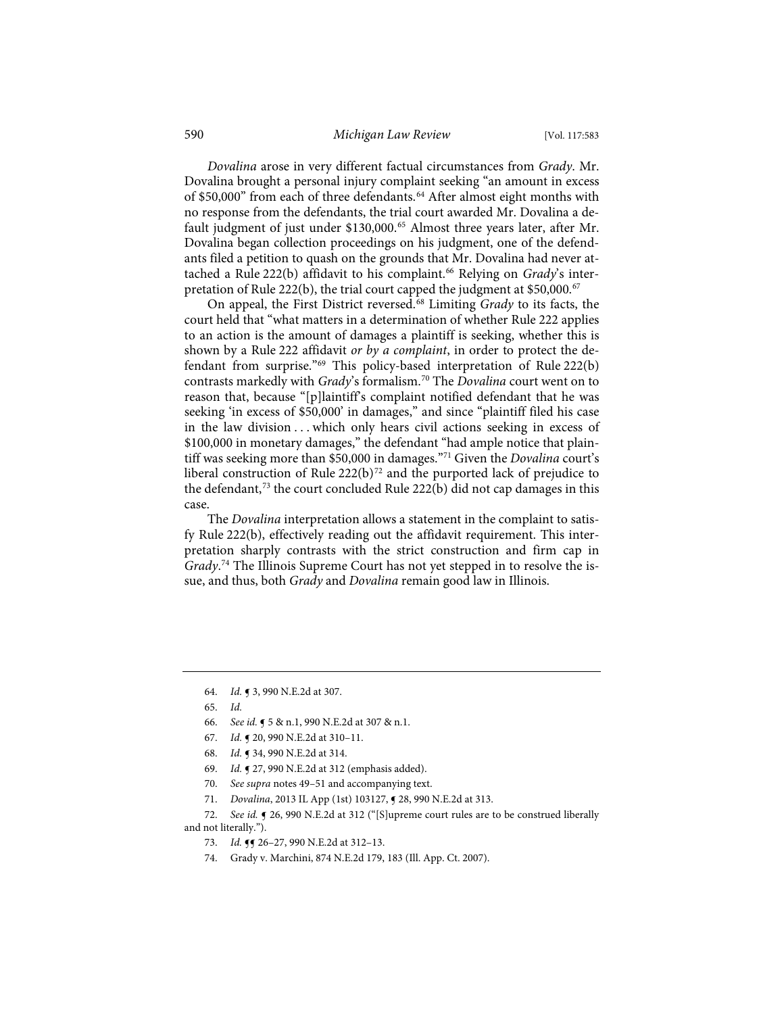#### 590 *Michigan Law Review* [Vol. 117:583

*Dovalina* arose in very different factual circumstances from *Grady*. Mr. Dovalina brought a personal injury complaint seeking "an amount in excess of \$50,000" from each of three defendants.<sup>64</sup> After almost eight months with no response from the defendants, the trial court awarded Mr. Dovalina a default judgment of just under \$130,000.<sup>65</sup> Almost three years later, after Mr. Dovalina began collection proceedings on his judgment, one of the defendants filed a petition to quash on the grounds that Mr. Dovalina had never attached a Rule 222(b) affidavit to his complaint.<sup>66</sup> Relying on *Grady*'s interpretation of Rule 222(b), the trial court capped the judgment at \$50,000.<sup>67</sup>

On appeal, the First District reversed.68 Limiting *Grady* to its facts, the court held that "what matters in a determination of whether Rule 222 applies to an action is the amount of damages a plaintiff is seeking, whether this is shown by a Rule 222 affidavit *or by a complaint*, in order to protect the defendant from surprise."69 This policy-based interpretation of Rule 222(b) contrasts markedly with *Grady*'s formalism.70 The *Dovalina* court went on to reason that, because "[p]laintiff's complaint notified defendant that he was seeking 'in excess of \$50,000' in damages," and since "plaintiff filed his case in the law division . . . which only hears civil actions seeking in excess of \$100,000 in monetary damages," the defendant "had ample notice that plaintiff was seeking more than \$50,000 in damages."71 Given the *Dovalina* court's liberal construction of Rule  $222(b)^{72}$  and the purported lack of prejudice to the defendant,<sup>73</sup> the court concluded Rule 222(b) did not cap damages in this case.

The *Dovalina* interpretation allows a statement in the complaint to satisfy Rule 222(b), effectively reading out the affidavit requirement. This interpretation sharply contrasts with the strict construction and firm cap in *Grady*. <sup>74</sup> The Illinois Supreme Court has not yet stepped in to resolve the issue, and thus, both *Grady* and *Dovalina* remain good law in Illinois.

- 66. *See id.* ¶ 5 & n.1, 990 N.E.2d at 307 & n.1.
- 67. *Id.* ¶ 20, 990 N.E.2d at 310–11.
- 68. *Id.* ¶ 34, 990 N.E.2d at 314.
- 69. *Id.* ¶ 27, 990 N.E.2d at 312 (emphasis added).
- 70. *See supra* notes 49–51 and accompanying text.
- 71. *Dovalina*, 2013 IL App (1st) 103127, ¶ 28, 990 N.E.2d at 313.
- 72. *See id.* ¶ 26, 990 N.E.2d at 312 ("[S]upreme court rules are to be construed liberally and not literally.").
	- 73. *Id.* **1** 26 27, 990 N.E.2d at 312 13.
	- 74. Grady v. Marchini, 874 N.E.2d 179, 183 (Ill. App. Ct. 2007).

<sup>64.</sup> *Id.* ¶ 3, 990 N.E.2d at 307.

<sup>65.</sup> *Id.*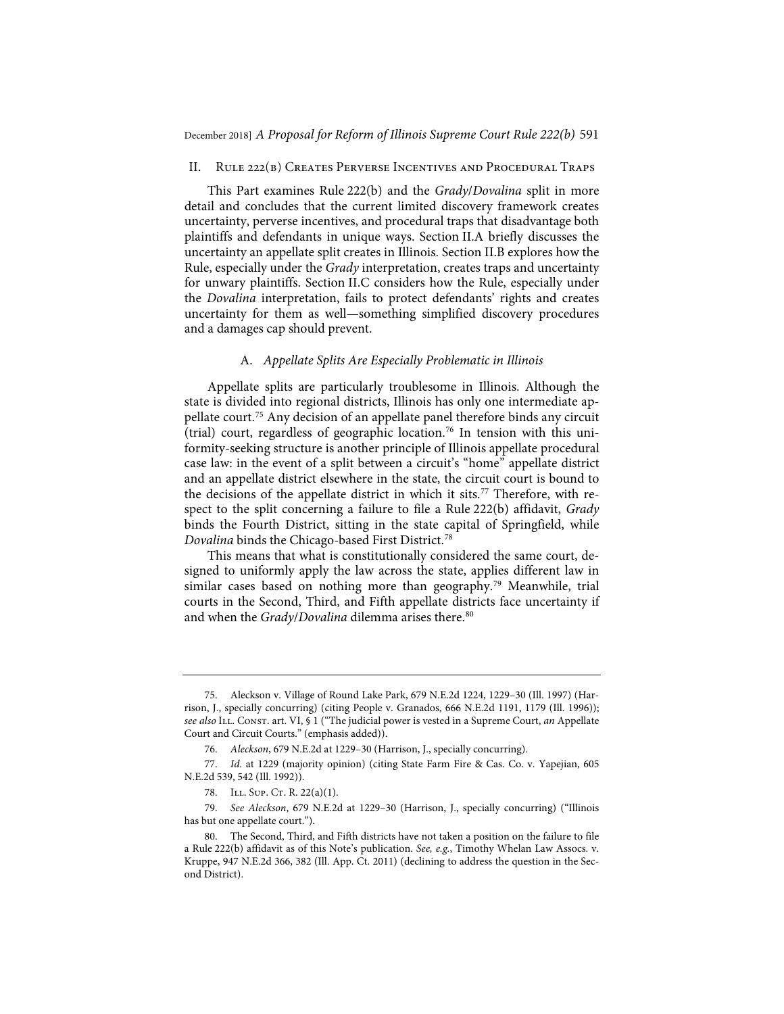#### II. Rule 222(b) Creates Perverse Incentives and Procedural Traps

This Part examines Rule 222(b) and the *Grady*/*Dovalina* split in more detail and concludes that the current limited discovery framework creates uncertainty, perverse incentives, and procedural traps that disadvantage both plaintiffs and defendants in unique ways. Section II.A briefly discusses the uncertainty an appellate split creates in Illinois. Section II.B explores how the Rule, especially under the *Grady* interpretation, creates traps and uncertainty for unwary plaintiffs. Section II.C considers how the Rule, especially under the *Dovalina* interpretation, fails to protect defendants' rights and creates uncertainty for them as well—something simplified discovery procedures and a damages cap should prevent.

#### A. *Appellate Splits Are Especially Problematic in Illinois*

Appellate splits are particularly troublesome in Illinois. Although the state is divided into regional districts, Illinois has only one intermediate appellate court.75 Any decision of an appellate panel therefore binds any circuit (trial) court, regardless of geographic location.76 In tension with this uniformity-seeking structure is another principle of Illinois appellate procedural case law: in the event of a split between a circuit's "home" appellate district and an appellate district elsewhere in the state, the circuit court is bound to the decisions of the appellate district in which it sits.<sup>77</sup> Therefore, with respect to the split concerning a failure to file a Rule 222(b) affidavit, *Grady* binds the Fourth District, sitting in the state capital of Springfield, while *Dovalina* binds the Chicago-based First District.78

This means that what is constitutionally considered the same court, designed to uniformly apply the law across the state, applies different law in similar cases based on nothing more than geography.<sup>79</sup> Meanwhile, trial courts in the Second, Third, and Fifth appellate districts face uncertainty if and when the *Grady/Dovalina* dilemma arises there.<sup>80</sup>

<sup>75.</sup> Aleckson v. Village of Round Lake Park, 679 N.E.2d 1224, 1229–30 (Ill. 1997) (Harrison, J., specially concurring) (citing People v. Granados, 666 N.E.2d 1191, 1179 (Ill. 1996)); *see also* Ill. Const. art. VI, § 1 ("The judicial power is vested in a Supreme Court, *an* Appellate Court and Circuit Courts." (emphasis added)).

<sup>76.</sup> *Aleckson*, 679 N.E.2d at 1229–30 (Harrison, J., specially concurring).

<sup>77.</sup> *Id.* at 1229 (majority opinion) (citing State Farm Fire & Cas. Co. v. Yapejian, 605 N.E.2d 539, 542 (Ill. 1992)).

<sup>78.</sup> ILL. SUP. CT. R. 22(a)(1).

<sup>79.</sup> *See Aleckson*, 679 N.E.2d at 1229–30 (Harrison, J., specially concurring) ("Illinois has but one appellate court.").

<sup>80.</sup> The Second, Third, and Fifth districts have not taken a position on the failure to file a Rule 222(b) affidavit as of this Note's publication. *See, e.g.*, Timothy Whelan Law Assocs. v. Kruppe, 947 N.E.2d 366, 382 (Ill. App. Ct. 2011) (declining to address the question in the Second District).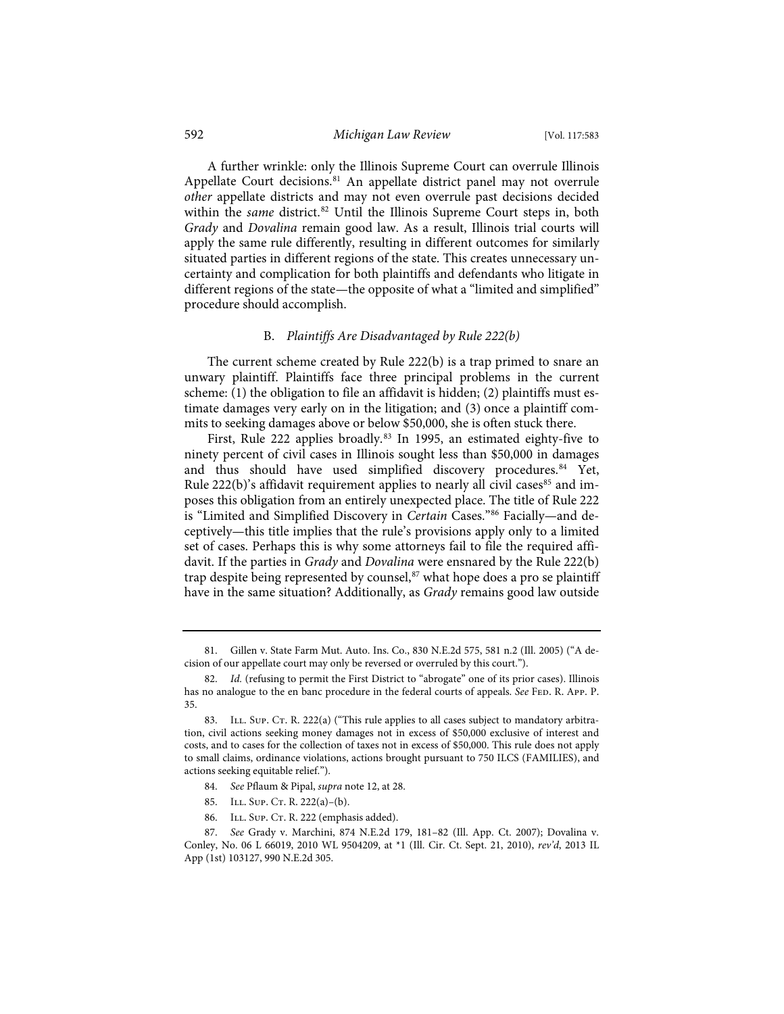#### 592 *Michigan Law Review* [Vol. 117:583

A further wrinkle: only the Illinois Supreme Court can overrule Illinois Appellate Court decisions.<sup>81</sup> An appellate district panel may not overrule *other* appellate districts and may not even overrule past decisions decided within the *same* district.<sup>82</sup> Until the Illinois Supreme Court steps in, both *Grady* and *Dovalina* remain good law. As a result, Illinois trial courts will apply the same rule differently, resulting in different outcomes for similarly situated parties in different regions of the state. This creates unnecessary uncertainty and complication for both plaintiffs and defendants who litigate in different regions of the state—the opposite of what a "limited and simplified" procedure should accomplish.

#### B. *Plaintiffs Are Disadvantaged by Rule 222(b)*

The current scheme created by Rule 222(b) is a trap primed to snare an unwary plaintiff. Plaintiffs face three principal problems in the current scheme: (1) the obligation to file an affidavit is hidden; (2) plaintiffs must estimate damages very early on in the litigation; and (3) once a plaintiff commits to seeking damages above or below \$50,000, she is often stuck there.

First, Rule 222 applies broadly.83 In 1995, an estimated eighty-five to ninety percent of civil cases in Illinois sought less than \$50,000 in damages and thus should have used simplified discovery procedures.<sup>84</sup> Yet, Rule  $222(b)$ 's affidavit requirement applies to nearly all civil cases<sup>85</sup> and imposes this obligation from an entirely unexpected place. The title of Rule 222 is "Limited and Simplified Discovery in *Certain* Cases."86 Facially—and deceptively—this title implies that the rule's provisions apply only to a limited set of cases. Perhaps this is why some attorneys fail to file the required affidavit. If the parties in *Grady* and *Dovalina* were ensnared by the Rule 222(b) trap despite being represented by counsel,<sup>87</sup> what hope does a pro se plaintiff have in the same situation? Additionally, as *Grady* remains good law outside

- 84. *See* Pflaum & Pipal, *supra* note 12, at 28.
- 85. ILL. SUP. CT. R. 222(a)–(b).
- 86. ILL. SUP. CT. R. 222 (emphasis added).

<sup>81.</sup> Gillen v. State Farm Mut. Auto. Ins. Co., 830 N.E.2d 575, 581 n.2 (Ill. 2005) ("A decision of our appellate court may only be reversed or overruled by this court.").

Id. (refusing to permit the First District to "abrogate" one of its prior cases). Illinois has no analogue to the en banc procedure in the federal courts of appeals. *See* FED. R. App. P. 35.

<sup>83.</sup> ILL. Sup. Cr. R. 222(a) ("This rule applies to all cases subject to mandatory arbitration, civil actions seeking money damages not in excess of \$50,000 exclusive of interest and costs, and to cases for the collection of taxes not in excess of \$50,000. This rule does not apply to small claims, ordinance violations, actions brought pursuant to 750 ILCS (FAMILIES), and actions seeking equitable relief.").

<sup>87.</sup> *See* Grady v. Marchini, 874 N.E.2d 179, 181–82 (Ill. App. Ct. 2007); Dovalina v. Conley, No. 06 L 66019, 2010 WL 9504209, at \*1 (Ill. Cir. Ct. Sept. 21, 2010), *rev'd*, 2013 IL App (1st) 103127, 990 N.E.2d 305.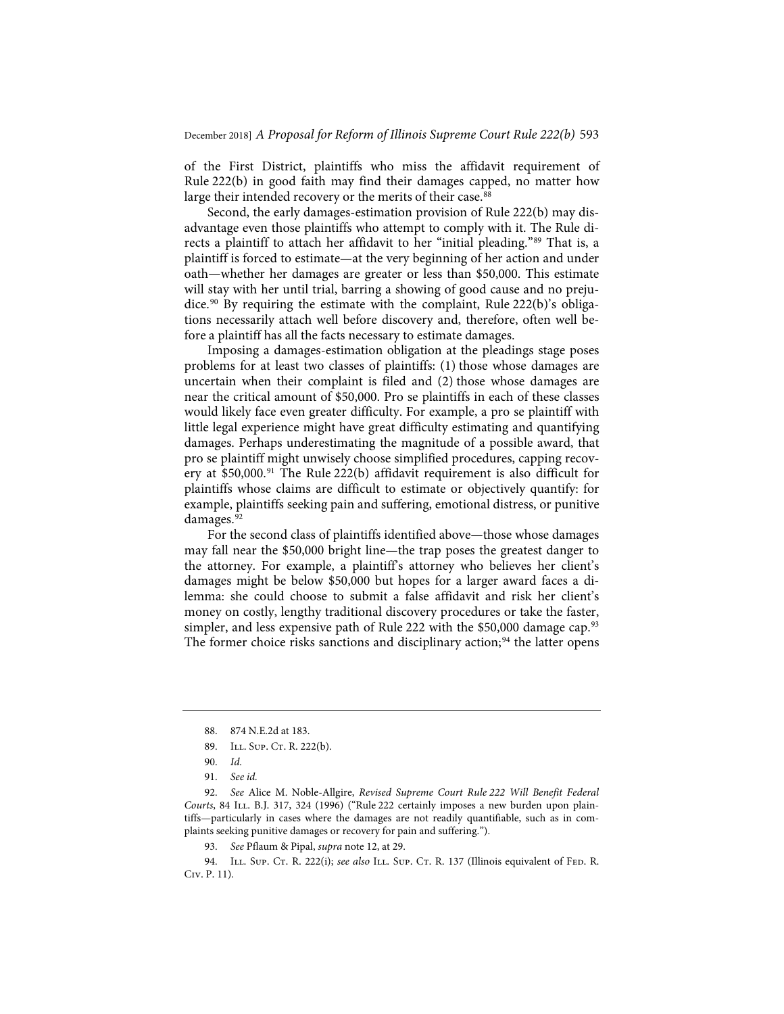of the First District, plaintiffs who miss the affidavit requirement of Rule 222(b) in good faith may find their damages capped, no matter how large their intended recovery or the merits of their case.<sup>88</sup>

Second, the early damages-estimation provision of Rule 222(b) may disadvantage even those plaintiffs who attempt to comply with it. The Rule directs a plaintiff to attach her affidavit to her "initial pleading."89 That is, a plaintiff is forced to estimate—at the very beginning of her action and under oath—whether her damages are greater or less than \$50,000. This estimate will stay with her until trial, barring a showing of good cause and no prejudice.<sup>90</sup> By requiring the estimate with the complaint, Rule 222(b)'s obligations necessarily attach well before discovery and, therefore, often well before a plaintiff has all the facts necessary to estimate damages.

Imposing a damages-estimation obligation at the pleadings stage poses problems for at least two classes of plaintiffs: (1) those whose damages are uncertain when their complaint is filed and (2) those whose damages are near the critical amount of \$50,000. Pro se plaintiffs in each of these classes would likely face even greater difficulty. For example, a pro se plaintiff with little legal experience might have great difficulty estimating and quantifying damages. Perhaps underestimating the magnitude of a possible award, that pro se plaintiff might unwisely choose simplified procedures, capping recovery at \$50,000.<sup>91</sup> The Rule 222(b) affidavit requirement is also difficult for plaintiffs whose claims are difficult to estimate or objectively quantify: for example, plaintiffs seeking pain and suffering, emotional distress, or punitive damages.<sup>92</sup>

For the second class of plaintiffs identified above—those whose damages may fall near the \$50,000 bright line—the trap poses the greatest danger to the attorney. For example, a plaintiff's attorney who believes her client's damages might be below \$50,000 but hopes for a larger award faces a dilemma: she could choose to submit a false affidavit and risk her client's money on costly, lengthy traditional discovery procedures or take the faster, simpler, and less expensive path of Rule 222 with the \$50,000 damage cap.<sup>93</sup> The former choice risks sanctions and disciplinary action;<sup>94</sup> the latter opens

94. ILL. Sup. Cr. R. 222(i); *see also* ILL. Sup. Cr. R. 137 (Illinois equivalent of FED. R. Civ. P. 11).

<sup>88. 874</sup> N.E.2d at 183.

<sup>89.</sup> ILL. SUP. CT. R. 222(b).

<sup>90.</sup> *Id.*

<sup>91.</sup> *See id.*

<sup>92.</sup> *See* Alice M. Noble-Allgire, *Revised Supreme Court Rule 222 Will Benefit Federal*  Courts, 84 ILL. B.J. 317, 324 (1996) ("Rule 222 certainly imposes a new burden upon plaintiffs—particularly in cases where the damages are not readily quantifiable, such as in complaints seeking punitive damages or recovery for pain and suffering.").

<sup>93.</sup> *See* Pflaum & Pipal, *supra* note 12, at 29.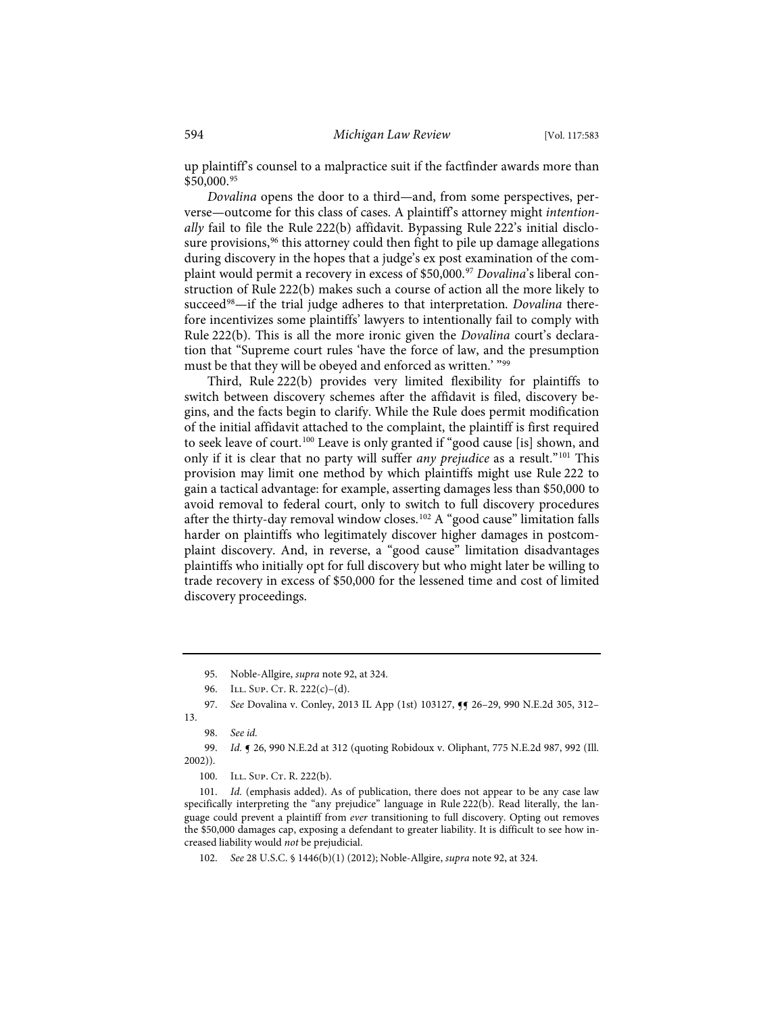up plaintiff's counsel to a malpractice suit if the factfinder awards more than \$50,000.95

*Dovalina* opens the door to a third—and, from some perspectives, perverse—outcome for this class of cases. A plaintiff's attorney might *intentionally* fail to file the Rule 222(b) affidavit. Bypassing Rule 222's initial disclosure provisions,<sup>96</sup> this attorney could then fight to pile up damage allegations during discovery in the hopes that a judge's ex post examination of the complaint would permit a recovery in excess of \$50,000.97 *Dovalina*'s liberal construction of Rule 222(b) makes such a course of action all the more likely to succeed<sup>98</sup>—if the trial judge adheres to that interpretation. *Dovalina* therefore incentivizes some plaintiffs' lawyers to intentionally fail to comply with Rule 222(b). This is all the more ironic given the *Dovalina* court's declaration that "Supreme court rules 'have the force of law, and the presumption must be that they will be obeyed and enforced as written.' "99

Third, Rule 222(b) provides very limited flexibility for plaintiffs to switch between discovery schemes after the affidavit is filed, discovery begins, and the facts begin to clarify. While the Rule does permit modification of the initial affidavit attached to the complaint, the plaintiff is first required to seek leave of court.<sup>100</sup> Leave is only granted if "good cause [is] shown, and only if it is clear that no party will suffer *any prejudice* as a result."101 This provision may limit one method by which plaintiffs might use Rule 222 to gain a tactical advantage: for example, asserting damages less than \$50,000 to avoid removal to federal court, only to switch to full discovery procedures after the thirty-day removal window closes.<sup>102</sup> A "good cause" limitation falls harder on plaintiffs who legitimately discover higher damages in postcomplaint discovery. And, in reverse, a "good cause" limitation disadvantages plaintiffs who initially opt for full discovery but who might later be willing to trade recovery in excess of \$50,000 for the lessened time and cost of limited discovery proceedings.

<sup>95.</sup> Noble-Allgire, *supra* note 92, at 324.

<sup>96.</sup> ILL. SUP. CT. R.  $222(c)-(d)$ .

<sup>97.</sup> See Dovalina v. Conley, 2013 IL App (1st) 103127, 55 26-29, 990 N.E.2d 305, 312-13.

<sup>98.</sup> *See id.*

<sup>99.</sup> *Id.* ¶ 26, 990 N.E.2d at 312 (quoting Robidoux v. Oliphant, 775 N.E.2d 987, 992 (Ill. 2002)).

<sup>100.</sup> ILL. SUP. CT. R. 222(b).

<sup>101.</sup> *Id.* (emphasis added). As of publication, there does not appear to be any case law specifically interpreting the "any prejudice" language in Rule 222(b). Read literally, the language could prevent a plaintiff from *ever* transitioning to full discovery. Opting out removes the \$50,000 damages cap, exposing a defendant to greater liability. It is difficult to see how increased liability would *not* be prejudicial.

<sup>102.</sup> *See* 28 U.S.C. § 1446(b)(1) (2012); Noble-Allgire, *supra* note 92, at 324.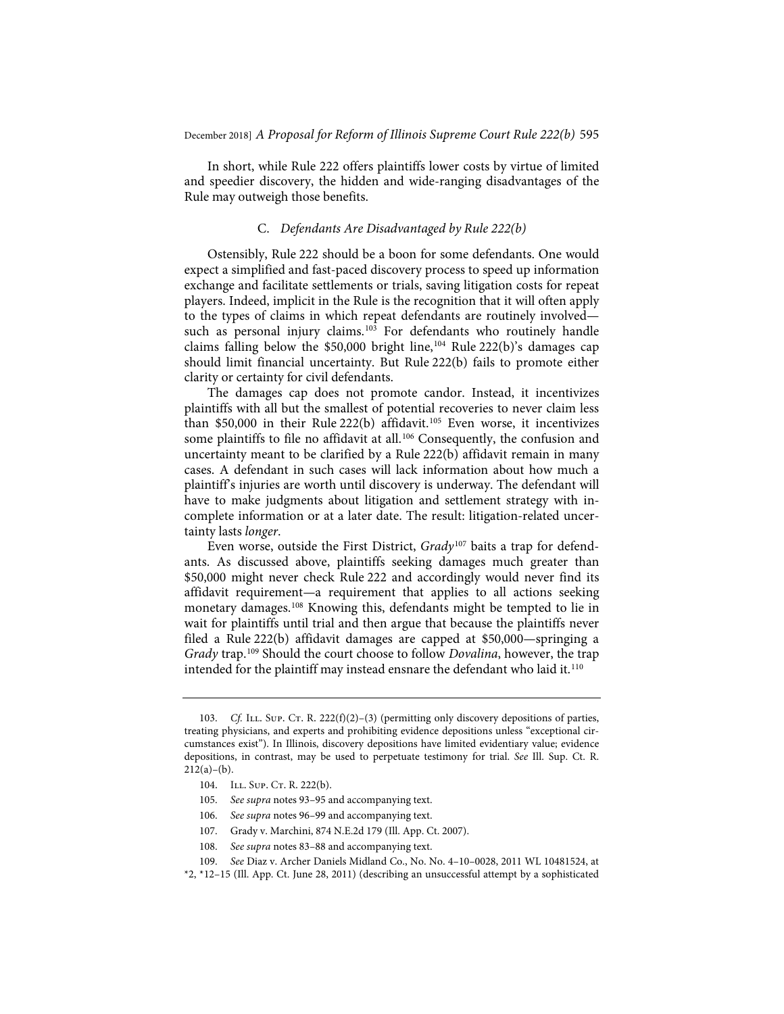In short, while Rule 222 offers plaintiffs lower costs by virtue of limited and speedier discovery, the hidden and wide-ranging disadvantages of the Rule may outweigh those benefits.

#### C. *Defendants Are Disadvantaged by Rule 222(b)*

Ostensibly, Rule 222 should be a boon for some defendants. One would expect a simplified and fast-paced discovery process to speed up information exchange and facilitate settlements or trials, saving litigation costs for repeat players. Indeed, implicit in the Rule is the recognition that it will often apply to the types of claims in which repeat defendants are routinely involved such as personal injury claims.<sup>103</sup> For defendants who routinely handle claims falling below the \$50,000 bright line,<sup>104</sup> Rule 222(b)'s damages cap should limit financial uncertainty. But Rule 222(b) fails to promote either clarity or certainty for civil defendants.

The damages cap does not promote candor. Instead, it incentivizes plaintiffs with all but the smallest of potential recoveries to never claim less than  $$50,000$  in their Rule 222(b) affidavit.<sup>105</sup> Even worse, it incentivizes some plaintiffs to file no affidavit at all.<sup>106</sup> Consequently, the confusion and uncertainty meant to be clarified by a Rule 222(b) affidavit remain in many cases. A defendant in such cases will lack information about how much a plaintiff's injuries are worth until discovery is underway. The defendant will have to make judgments about litigation and settlement strategy with incomplete information or at a later date. The result: litigation-related uncertainty lasts *longer*.

Even worse, outside the First District, *Grady*<sup>107</sup> baits a trap for defendants. As discussed above, plaintiffs seeking damages much greater than \$50,000 might never check Rule 222 and accordingly would never find its affidavit requirement—a requirement that applies to all actions seeking monetary damages.108 Knowing this, defendants might be tempted to lie in wait for plaintiffs until trial and then argue that because the plaintiffs never filed a Rule 222(b) affidavit damages are capped at \$50,000—springing a *Grady* trap.109 Should the court choose to follow *Dovalina*, however, the trap intended for the plaintiff may instead ensnare the defendant who laid it. $110$ 

- 106. *See supra* notes 96–99 and accompanying text.
- 107. Grady v. Marchini, 874 N.E.2d 179 (Ill. App. Ct. 2007).
- 108. *See supra* notes 83–88 and accompanying text.
- 109. *See* Diaz v. Archer Daniels Midland Co., No. No. 4–10–0028, 2011 WL 10481524, at

\*2, \*12–15 (Ill. App. Ct. June 28, 2011) (describing an unsuccessful attempt by a sophisticated

<sup>103.</sup> Cf. ILL. Sup. Cr. R. 222(f)(2)-(3) (permitting only discovery depositions of parties, treating physicians, and experts and prohibiting evidence depositions unless "exceptional circumstances exist"). In Illinois, discovery depositions have limited evidentiary value; evidence depositions, in contrast, may be used to perpetuate testimony for trial. *See* Ill. Sup. Ct. R.  $212(a)–(b)$ .

<sup>104.</sup> ILL. SUP. CT. R. 222(b).

<sup>105.</sup> *See supra* notes 93–95 and accompanying text.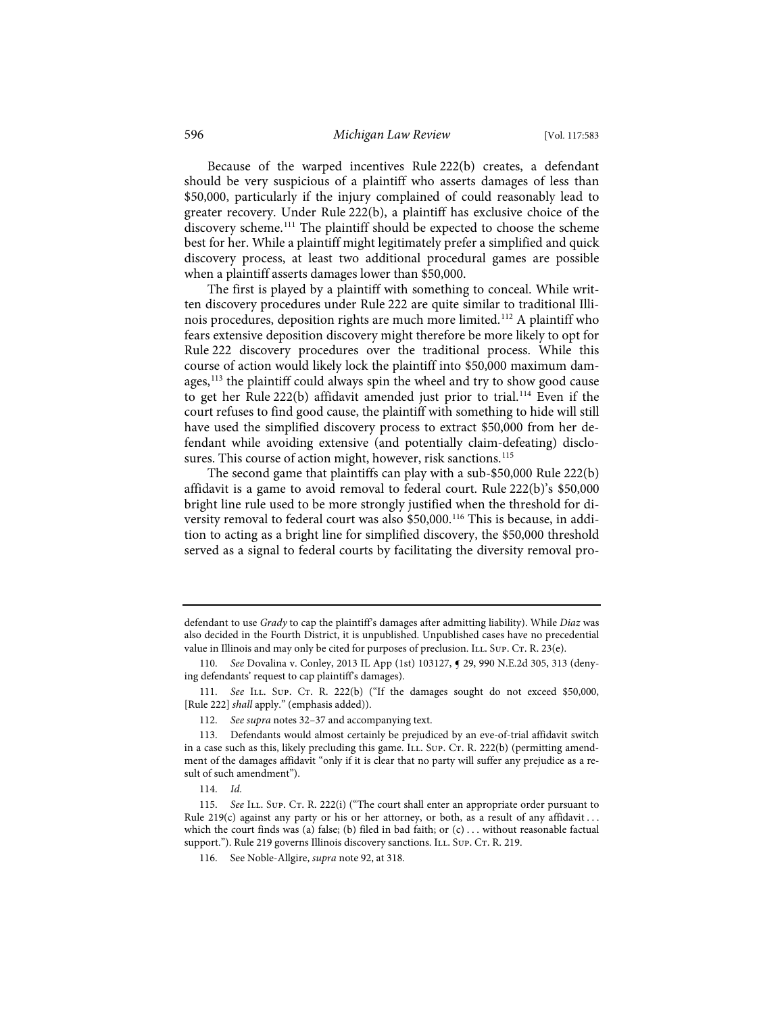Because of the warped incentives Rule 222(b) creates, a defendant should be very suspicious of a plaintiff who asserts damages of less than \$50,000, particularly if the injury complained of could reasonably lead to greater recovery. Under Rule 222(b), a plaintiff has exclusive choice of the discovery scheme.<sup>111</sup> The plaintiff should be expected to choose the scheme best for her. While a plaintiff might legitimately prefer a simplified and quick discovery process, at least two additional procedural games are possible when a plaintiff asserts damages lower than \$50,000.

The first is played by a plaintiff with something to conceal. While written discovery procedures under Rule 222 are quite similar to traditional Illinois procedures, deposition rights are much more limited.112 A plaintiff who fears extensive deposition discovery might therefore be more likely to opt for Rule 222 discovery procedures over the traditional process. While this course of action would likely lock the plaintiff into \$50,000 maximum damages, $113$  the plaintiff could always spin the wheel and try to show good cause to get her Rule 222(b) affidavit amended just prior to trial.<sup>114</sup> Even if the court refuses to find good cause, the plaintiff with something to hide will still have used the simplified discovery process to extract \$50,000 from her defendant while avoiding extensive (and potentially claim-defeating) disclosures. This course of action might, however, risk sanctions.<sup>115</sup>

The second game that plaintiffs can play with a sub-\$50,000 Rule 222(b) affidavit is a game to avoid removal to federal court. Rule 222(b)'s \$50,000 bright line rule used to be more strongly justified when the threshold for diversity removal to federal court was also \$50,000.<sup>116</sup> This is because, in addition to acting as a bright line for simplified discovery, the \$50,000 threshold served as a signal to federal courts by facilitating the diversity removal pro-

defendant to use *Grady* to cap the plaintiff's damages after admitting liability). While *Diaz* was also decided in the Fourth District, it is unpublished. Unpublished cases have no precedential value in Illinois and may only be cited for purposes of preclusion. ILL. Sup. CT. R. 23(e).

<sup>110.</sup> *See* Dovalina v. Conley, 2013 IL App (1st) 103127, ¶ 29, 990 N.E.2d 305, 313 (denying defendants' request to cap plaintiff's damages).

<sup>111.</sup> See ILL. Sup. Cr. R. 222(b) ("If the damages sought do not exceed \$50,000, [Rule 222] *shall* apply." (emphasis added)).

<sup>112.</sup> *See supra* notes 32–37 and accompanying text.

<sup>113.</sup> Defendants would almost certainly be prejudiced by an eve-of-trial affidavit switch in a case such as this, likely precluding this game. ILL. Sup. Cr. R. 222(b) (permitting amendment of the damages affidavit "only if it is clear that no party will suffer any prejudice as a result of such amendment").

<sup>114.</sup> *Id.*

<sup>115.</sup> *See* ILL. Sup. Cr. R. 222(i) ("The court shall enter an appropriate order pursuant to Rule 219(c) against any party or his or her attorney, or both, as a result of any affidavit . . . which the court finds was (a) false; (b) filed in bad faith; or  $(c) \ldots$  without reasonable factual support."). Rule 219 governs Illinois discovery sanctions. ILL. Sup. CT. R. 219.

<sup>116.</sup> See Noble-Allgire, *supra* note 92, at 318.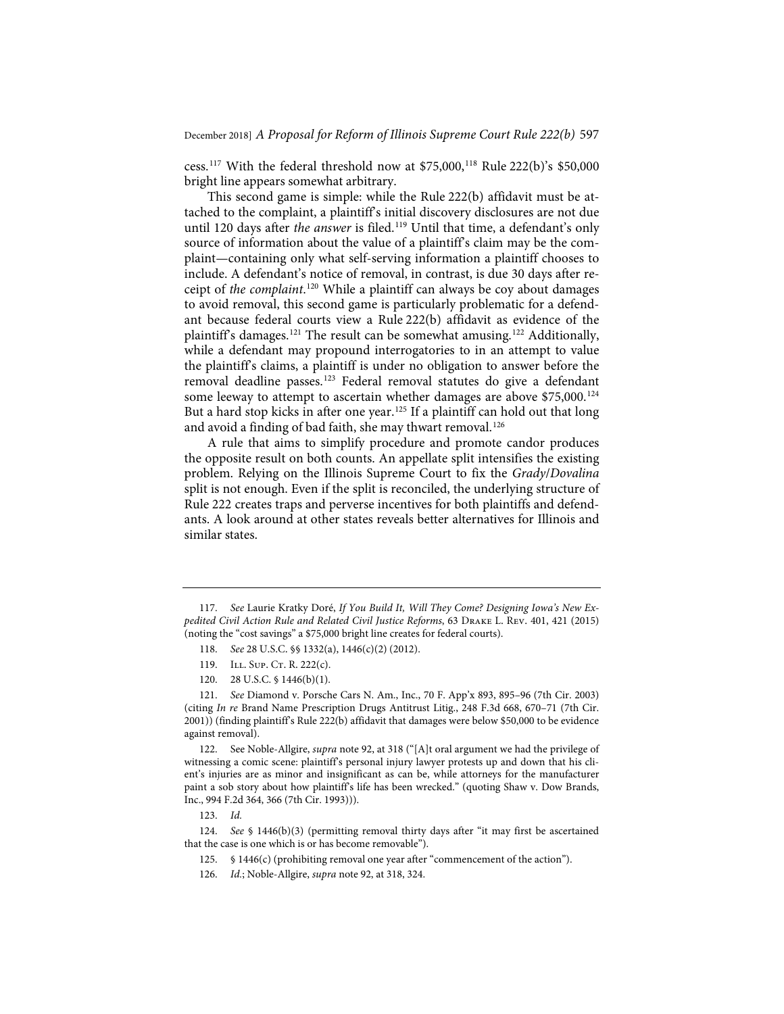cess.<sup>117</sup> With the federal threshold now at \$75,000,<sup>118</sup> Rule 222(b)'s \$50,000 bright line appears somewhat arbitrary.

This second game is simple: while the Rule 222(b) affidavit must be attached to the complaint, a plaintiff's initial discovery disclosures are not due until 120 days after the answer is filed.<sup>119</sup> Until that time, a defendant's only source of information about the value of a plaintiff's claim may be the complaint—containing only what self-serving information a plaintiff chooses to include. A defendant's notice of removal, in contrast, is due 30 days after receipt of *the complaint*. <sup>120</sup> While a plaintiff can always be coy about damages to avoid removal, this second game is particularly problematic for a defendant because federal courts view a Rule 222(b) affidavit as evidence of the plaintiff's damages.<sup>121</sup> The result can be somewhat amusing.<sup>122</sup> Additionally, while a defendant may propound interrogatories to in an attempt to value the plaintiff's claims, a plaintiff is under no obligation to answer before the removal deadline passes.123 Federal removal statutes do give a defendant some leeway to attempt to ascertain whether damages are above \$75,000.<sup>124</sup> But a hard stop kicks in after one year.<sup>125</sup> If a plaintiff can hold out that long and avoid a finding of bad faith, she may thwart removal.<sup>126</sup>

A rule that aims to simplify procedure and promote candor produces the opposite result on both counts. An appellate split intensifies the existing problem. Relying on the Illinois Supreme Court to fix the *Grady*/*Dovalina* split is not enough. Even if the split is reconciled, the underlying structure of Rule 222 creates traps and perverse incentives for both plaintiffs and defendants. A look around at other states reveals better alternatives for Illinois and similar states.

<sup>117.</sup> *See* Laurie Kratky Doré, *If You Build It, Will They Come? Designing Iowa's New Expedited Civil Action Rule and Related Civil Justice Reforms*, 63 Drake L. Rev. 401, 421 (2015) (noting the "cost savings" a \$75,000 bright line creates for federal courts).

<sup>118.</sup> *See* 28 U.S.C. §§ 1332(a), 1446(c)(2) (2012).

<sup>119.</sup> ILL. SUP. CT. R. 222(c).

<sup>120. 28</sup> U.S.C. § 1446(b)(1).

<sup>121.</sup> *See* Diamond v. Porsche Cars N. Am., Inc., 70 F. App'x 893, 895–96 (7th Cir. 2003) (citing *In re* Brand Name Prescription Drugs Antitrust Litig., 248 F.3d 668, 670–71 (7th Cir. 2001)) (finding plaintiff's Rule 222(b) affidavit that damages were below \$50,000 to be evidence against removal).

<sup>122.</sup> See Noble-Allgire, *supra* note 92, at 318 ("[A]t oral argument we had the privilege of witnessing a comic scene: plaintiff's personal injury lawyer protests up and down that his client's injuries are as minor and insignificant as can be, while attorneys for the manufacturer paint a sob story about how plaintiff's life has been wrecked." (quoting Shaw v. Dow Brands, Inc., 994 F.2d 364, 366 (7th Cir. 1993))).

<sup>123.</sup> *Id.*

<sup>124.</sup> *See* § 1446(b)(3) (permitting removal thirty days after "it may first be ascertained that the case is one which is or has become removable").

<sup>125. § 1446(</sup>c) (prohibiting removal one year after "commencement of the action").

<sup>126.</sup> *Id.*; Noble-Allgire, *supra* note 92, at 318, 324.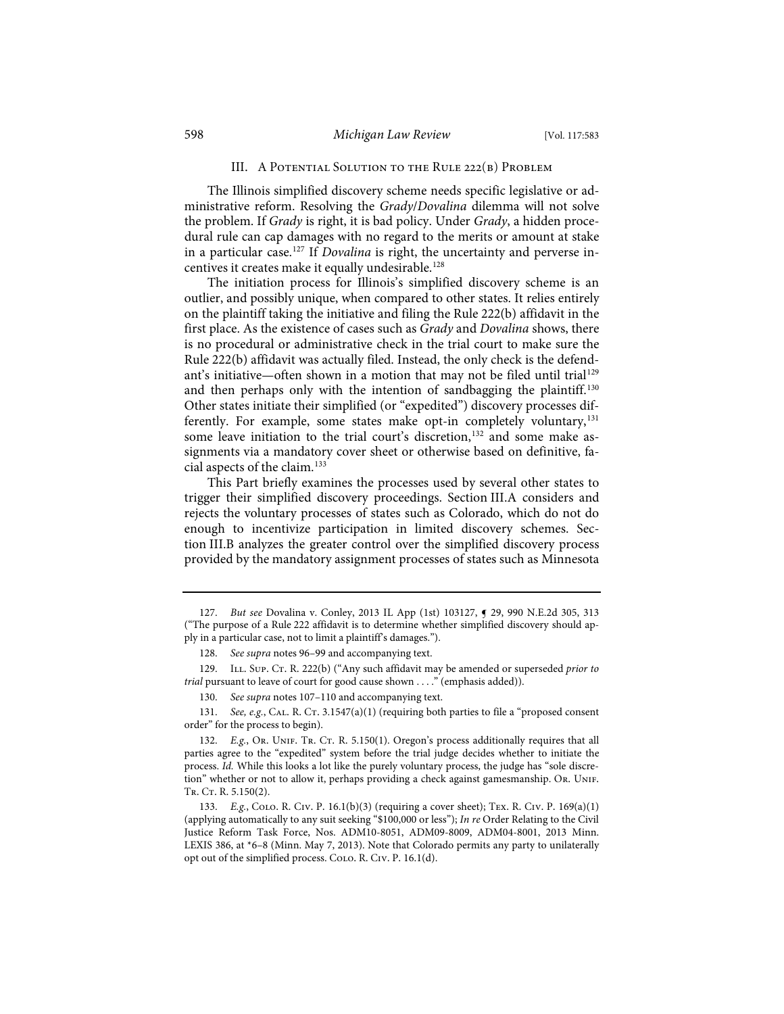#### III. A Potential Solution to the Rule 222(b) Problem

The Illinois simplified discovery scheme needs specific legislative or administrative reform. Resolving the *Grady*/*Dovalina* dilemma will not solve the problem. If *Grady* is right, it is bad policy. Under *Grady*, a hidden procedural rule can cap damages with no regard to the merits or amount at stake in a particular case.127 If *Dovalina* is right, the uncertainty and perverse incentives it creates make it equally undesirable.<sup>128</sup>

The initiation process for Illinois's simplified discovery scheme is an outlier, and possibly unique, when compared to other states. It relies entirely on the plaintiff taking the initiative and filing the Rule 222(b) affidavit in the first place. As the existence of cases such as *Grady* and *Dovalina* shows, there is no procedural or administrative check in the trial court to make sure the Rule 222(b) affidavit was actually filed. Instead, the only check is the defendant's initiative—often shown in a motion that may not be filed until trial<sup>129</sup> and then perhaps only with the intention of sandbagging the plaintiff.<sup>130</sup> Other states initiate their simplified (or "expedited") discovery processes differently. For example, some states make opt-in completely voluntary,<sup>131</sup> some leave initiation to the trial court's discretion,<sup>132</sup> and some make assignments via a mandatory cover sheet or otherwise based on definitive, facial aspects of the claim.133

This Part briefly examines the processes used by several other states to trigger their simplified discovery proceedings. Section III.A considers and rejects the voluntary processes of states such as Colorado, which do not do enough to incentivize participation in limited discovery schemes. Section III.B analyzes the greater control over the simplified discovery process provided by the mandatory assignment processes of states such as Minnesota

<sup>127.</sup> *But see* Dovalina v. Conley, 2013 IL App (1st) 103127, ¶ 29, 990 N.E.2d 305, 313 ("The purpose of a Rule 222 affidavit is to determine whether simplified discovery should apply in a particular case, not to limit a plaintiff's damages.").

<sup>128.</sup> *See supra* notes 96–99 and accompanying text.

<sup>129.</sup> ILL. SUP. CT. R. 222(b) ("Any such affidavit may be amended or superseded *prior to trial* pursuant to leave of court for good cause shown . . . ." (emphasis added)).

<sup>130.</sup> *See supra* notes 107–110 and accompanying text.

<sup>131.</sup> *See, e.g.*, CAL. R. CT. 3.1547(a)(1) (requiring both parties to file a "proposed consent order" for the process to begin).

<sup>132.</sup> *E.g.*, Or. UNIF. Tr. CT. R. 5.150(1). Oregon's process additionally requires that all parties agree to the "expedited" system before the trial judge decides whether to initiate the process. *Id.* While this looks a lot like the purely voluntary process, the judge has "sole discretion" whether or not to allow it, perhaps providing a check against gamesmanship. Or. Unif. TR. CT. R. 5.150(2).

<sup>133.</sup> *E.g.*, Colo. R. Civ. P. 16.1(b)(3) (requiring a cover sheet); Tex. R. Civ. P. 169(a)(1) (applying automatically to any suit seeking "\$100,000 or less"); *In re* Order Relating to the Civil Justice Reform Task Force, Nos. ADM10-8051, ADM09-8009, ADM04-8001, 2013 Minn. LEXIS 386, at \*6–8 (Minn. May 7, 2013). Note that Colorado permits any party to unilaterally opt out of the simplified process. Colo. R. Civ. P. 16.1(d).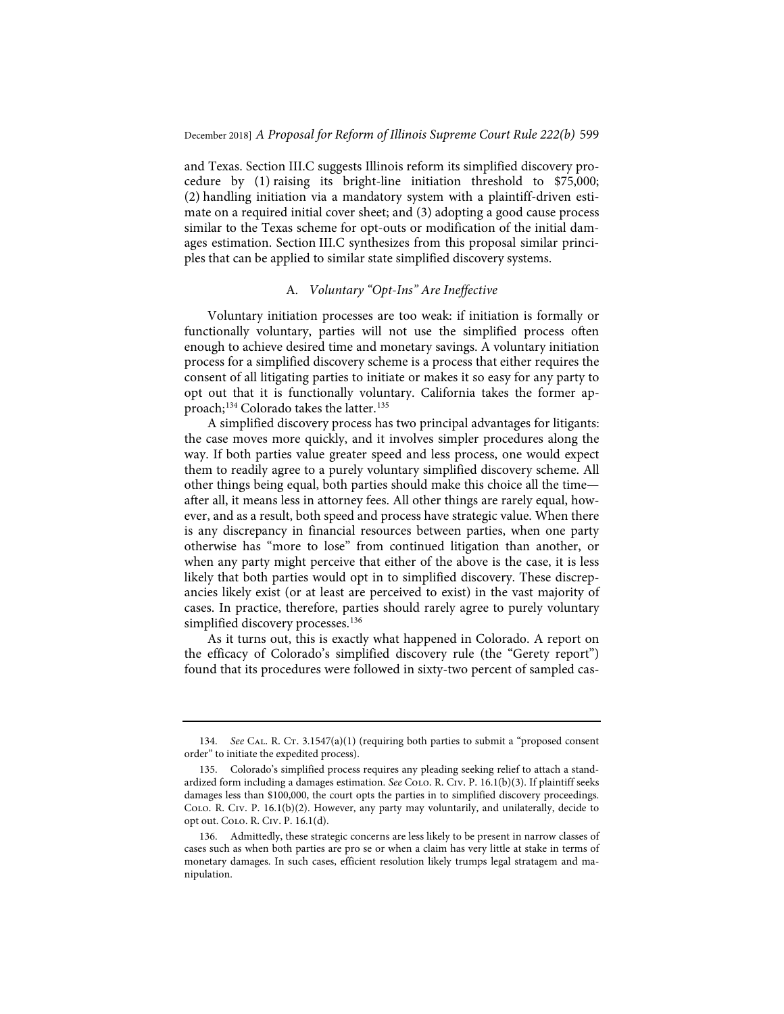and Texas. Section III.C suggests Illinois reform its simplified discovery procedure by (1) raising its bright-line initiation threshold to \$75,000; (2) handling initiation via a mandatory system with a plaintiff-driven estimate on a required initial cover sheet; and (3) adopting a good cause process similar to the Texas scheme for opt-outs or modification of the initial damages estimation. Section III.C synthesizes from this proposal similar principles that can be applied to similar state simplified discovery systems.

#### A*. Voluntary "Opt-Ins" Are Ineffective*

Voluntary initiation processes are too weak: if initiation is formally or functionally voluntary, parties will not use the simplified process often enough to achieve desired time and monetary savings. A voluntary initiation process for a simplified discovery scheme is a process that either requires the consent of all litigating parties to initiate or makes it so easy for any party to opt out that it is functionally voluntary. California takes the former approach;<sup>134</sup> Colorado takes the latter.<sup>135</sup>

A simplified discovery process has two principal advantages for litigants: the case moves more quickly, and it involves simpler procedures along the way. If both parties value greater speed and less process, one would expect them to readily agree to a purely voluntary simplified discovery scheme. All other things being equal, both parties should make this choice all the time after all, it means less in attorney fees. All other things are rarely equal, however, and as a result, both speed and process have strategic value. When there is any discrepancy in financial resources between parties, when one party otherwise has "more to lose" from continued litigation than another, or when any party might perceive that either of the above is the case, it is less likely that both parties would opt in to simplified discovery. These discrepancies likely exist (or at least are perceived to exist) in the vast majority of cases. In practice, therefore, parties should rarely agree to purely voluntary simplified discovery processes.<sup>136</sup>

As it turns out, this is exactly what happened in Colorado. A report on the efficacy of Colorado's simplified discovery rule (the "Gerety report") found that its procedures were followed in sixty-two percent of sampled cas-

<sup>134.</sup> *See* CAL. R. CT. 3.1547(a)(1) (requiring both parties to submit a "proposed consent order" to initiate the expedited process).

<sup>135.</sup> Colorado's simplified process requires any pleading seeking relief to attach a standardized form including a damages estimation. *See* Colo. R. Civ. P. 16.1(b)(3). If plaintiff seeks damages less than \$100,000, the court opts the parties in to simplified discovery proceedings. Colo. R. Civ. P. 16.1(b)(2). However, any party may voluntarily, and unilaterally, decide to opt out. Colo. R. Civ. P. 16.1(d).

<sup>136.</sup> Admittedly, these strategic concerns are less likely to be present in narrow classes of cases such as when both parties are pro se or when a claim has very little at stake in terms of monetary damages. In such cases, efficient resolution likely trumps legal stratagem and manipulation.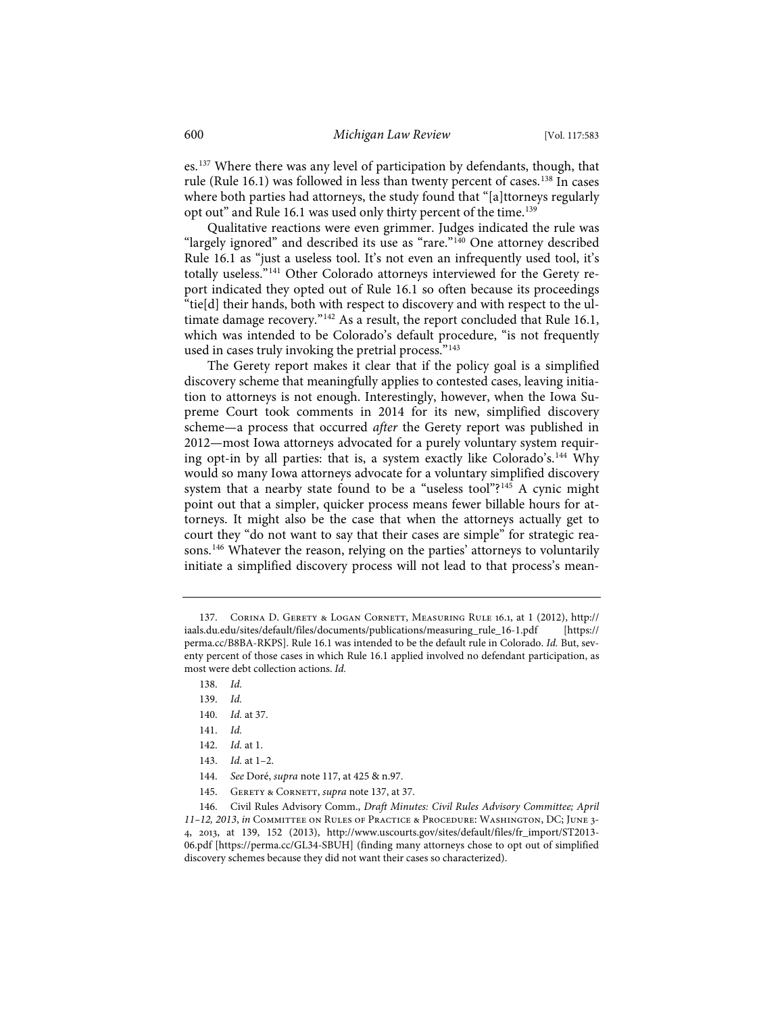es.137 Where there was any level of participation by defendants, though, that rule (Rule 16.1) was followed in less than twenty percent of cases.<sup>138</sup> In cases where both parties had attorneys, the study found that "[a]ttorneys regularly opt out" and Rule 16.1 was used only thirty percent of the time.<sup>139</sup>

Qualitative reactions were even grimmer. Judges indicated the rule was "largely ignored" and described its use as "rare."<sup>140</sup> One attorney described Rule 16.1 as "just a useless tool. It's not even an infrequently used tool, it's totally useless."<sup>141</sup> Other Colorado attorneys interviewed for the Gerety report indicated they opted out of Rule 16.1 so often because its proceedings "tie[d] their hands, both with respect to discovery and with respect to the ultimate damage recovery."<sup>142</sup> As a result, the report concluded that Rule 16.1, which was intended to be Colorado's default procedure, "is not frequently used in cases truly invoking the pretrial process."<sup>143</sup>

The Gerety report makes it clear that if the policy goal is a simplified discovery scheme that meaningfully applies to contested cases, leaving initiation to attorneys is not enough. Interestingly, however, when the Iowa Supreme Court took comments in 2014 for its new, simplified discovery scheme—a process that occurred *after* the Gerety report was published in 2012—most Iowa attorneys advocated for a purely voluntary system requiring opt-in by all parties: that is, a system exactly like Colorado's.144 Why would so many Iowa attorneys advocate for a voluntary simplified discovery system that a nearby state found to be a "useless tool"?<sup>145</sup> A cynic might point out that a simpler, quicker process means fewer billable hours for attorneys. It might also be the case that when the attorneys actually get to court they "do not want to say that their cases are simple" for strategic reasons.146 Whatever the reason, relying on the parties' attorneys to voluntarily initiate a simplified discovery process will not lead to that process's mean-

- 140. *Id.* at 37.
- 141. *Id.*
- 142. *Id.* at 1.
- 143. *Id.* at 1–2.
- 144. *See* Doré, *supra* note 117, at 425 & n.97.
- 145. Gerety & Cornett, *supra* note 137, at 37.

146. Civil Rules Advisory Comm., *Draft Minutes: Civil Rules Advisory Committee; April 11–12, 2013*, *in* Committee on Rules of Practice & Procedure: Washington, DC; June 3- 4, 2013, at 139, 152 (2013), http://www.uscourts.gov/sites/default/files/fr\_import/ST2013- 06.pdf [https://perma.cc/GL34-SBUH] (finding many attorneys chose to opt out of simplified discovery schemes because they did not want their cases so characterized).

<sup>137.</sup> Corina D. Gerety & Logan Cornett, Measuring Rule 16.1, at 1 (2012), http:// iaals.du.edu/sites/default/files/documents/publications/measuring\_rule\_16-1.pdf [https:// perma.cc/B8BA-RKPS]. Rule 16.1 was intended to be the default rule in Colorado. *Id.* But, seventy percent of those cases in which Rule 16.1 applied involved no defendant participation, as most were debt collection actions. *Id.*

<sup>138.</sup> *Id.*

<sup>139.</sup> *Id.*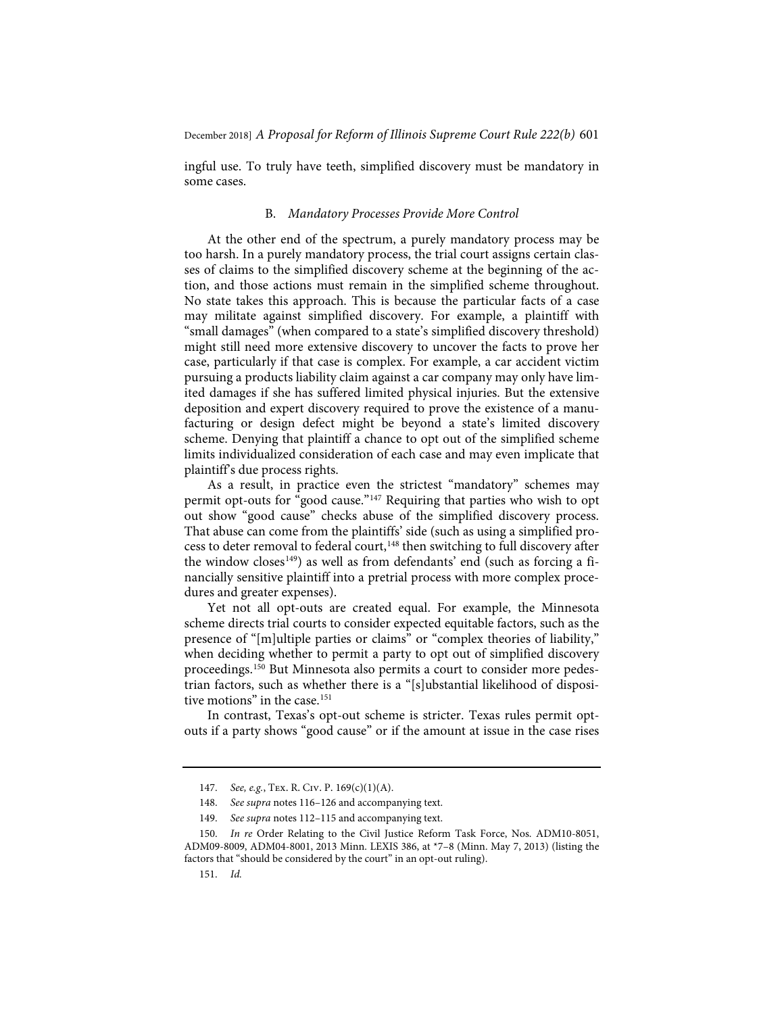ingful use. To truly have teeth, simplified discovery must be mandatory in some cases.

#### B. *Mandatory Processes Provide More Control*

At the other end of the spectrum, a purely mandatory process may be too harsh. In a purely mandatory process, the trial court assigns certain classes of claims to the simplified discovery scheme at the beginning of the action, and those actions must remain in the simplified scheme throughout. No state takes this approach. This is because the particular facts of a case may militate against simplified discovery. For example, a plaintiff with "small damages" (when compared to a state's simplified discovery threshold) might still need more extensive discovery to uncover the facts to prove her case, particularly if that case is complex. For example, a car accident victim pursuing a products liability claim against a car company may only have limited damages if she has suffered limited physical injuries. But the extensive deposition and expert discovery required to prove the existence of a manufacturing or design defect might be beyond a state's limited discovery scheme. Denying that plaintiff a chance to opt out of the simplified scheme limits individualized consideration of each case and may even implicate that plaintiff's due process rights.

As a result, in practice even the strictest "mandatory" schemes may permit opt-outs for "good cause."147 Requiring that parties who wish to opt out show "good cause" checks abuse of the simplified discovery process. That abuse can come from the plaintiffs' side (such as using a simplified process to deter removal to federal court,<sup>148</sup> then switching to full discovery after the window closes<sup>149</sup>) as well as from defendants' end (such as forcing a financially sensitive plaintiff into a pretrial process with more complex procedures and greater expenses).

Yet not all opt-outs are created equal. For example, the Minnesota scheme directs trial courts to consider expected equitable factors, such as the presence of "[m]ultiple parties or claims" or "complex theories of liability," when deciding whether to permit a party to opt out of simplified discovery proceedings.150 But Minnesota also permits a court to consider more pedestrian factors, such as whether there is a "[s]ubstantial likelihood of dispositive motions" in the case.<sup>151</sup>

In contrast, Texas's opt-out scheme is stricter. Texas rules permit optouts if a party shows "good cause" or if the amount at issue in the case rises

<sup>147.</sup> *See, e.g.*, Tex. R. Civ. P. 169(c)(1)(A).

<sup>148.</sup> *See supra* notes 116–126 and accompanying text.

<sup>149.</sup> *See supra* notes 112–115 and accompanying text.

<sup>150.</sup> *In re* Order Relating to the Civil Justice Reform Task Force, Nos. ADM10-8051, ADM09-8009, ADM04-8001, 2013 Minn. LEXIS 386, at \*7–8 (Minn. May 7, 2013) (listing the factors that "should be considered by the court" in an opt-out ruling).

<sup>151.</sup> *Id.*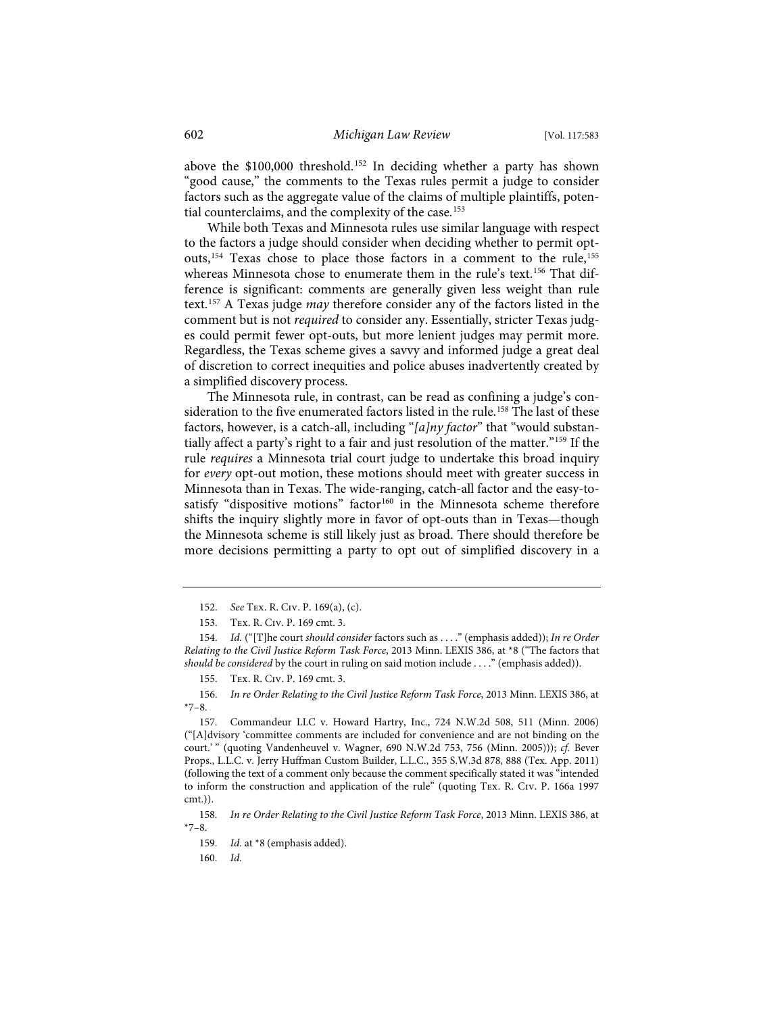above the \$100,000 threshold.<sup>152</sup> In deciding whether a party has shown "good cause," the comments to the Texas rules permit a judge to consider factors such as the aggregate value of the claims of multiple plaintiffs, potential counterclaims, and the complexity of the case.<sup>153</sup>

While both Texas and Minnesota rules use similar language with respect to the factors a judge should consider when deciding whether to permit optouts,<sup>154</sup> Texas chose to place those factors in a comment to the rule,<sup>155</sup> whereas Minnesota chose to enumerate them in the rule's text.<sup>156</sup> That difference is significant: comments are generally given less weight than rule text.157 A Texas judge *may* therefore consider any of the factors listed in the comment but is not *required* to consider any. Essentially, stricter Texas judges could permit fewer opt-outs, but more lenient judges may permit more. Regardless, the Texas scheme gives a savvy and informed judge a great deal of discretion to correct inequities and police abuses inadvertently created by a simplified discovery process.

The Minnesota rule, in contrast, can be read as confining a judge's consideration to the five enumerated factors listed in the rule.<sup>158</sup> The last of these factors, however, is a catch-all, including "*[a]ny factor*" that "would substantially affect a party's right to a fair and just resolution of the matter."159 If the rule *requires* a Minnesota trial court judge to undertake this broad inquiry for *every* opt-out motion, these motions should meet with greater success in Minnesota than in Texas. The wide-ranging, catch-all factor and the easy-tosatisfy "dispositive motions" factor<sup>160</sup> in the Minnesota scheme therefore shifts the inquiry slightly more in favor of opt-outs than in Texas—though the Minnesota scheme is still likely just as broad. There should therefore be more decisions permitting a party to opt out of simplified discovery in a

<sup>152.</sup> *See* Tex. R. Civ. P. 169(a), (c).

<sup>153.</sup> Tex. R. Civ. P. 169 cmt. 3.

<sup>154.</sup> *Id.* ("[T]he court *should consider* factors such as . . . ." (emphasis added)); *In re Order Relating to the Civil Justice Reform Task Force*, 2013 Minn. LEXIS 386, at \*8 ("The factors that *should be considered* by the court in ruling on said motion include . . . ." (emphasis added)).

<sup>155.</sup> Tex. R. Civ. P. 169 cmt. 3.

<sup>156.</sup> *In re Order Relating to the Civil Justice Reform Task Force*, 2013 Minn. LEXIS 386, at  $*7-8.$ 

<sup>157.</sup> Commandeur LLC v. Howard Hartry, Inc., 724 N.W.2d 508, 511 (Minn. 2006) ("[A]dvisory 'committee comments are included for convenience and are not binding on the court.' " (quoting Vandenheuvel v. Wagner, 690 N.W.2d 753, 756 (Minn. 2005))); *cf.* Bever Props., L.L.C. v. Jerry Huffman Custom Builder, L.L.C., 355 S.W.3d 878, 888 (Tex. App. 2011) (following the text of a comment only because the comment specifically stated it was "intended to inform the construction and application of the rule" (quoting Tex. R. Civ. P. 166a 1997 cmt.)).

<sup>158.</sup> *In re Order Relating to the Civil Justice Reform Task Force*, 2013 Minn. LEXIS 386, at  $*7-8$ .

<sup>159.</sup> *Id.* at \*8 (emphasis added).

<sup>160.</sup> *Id.*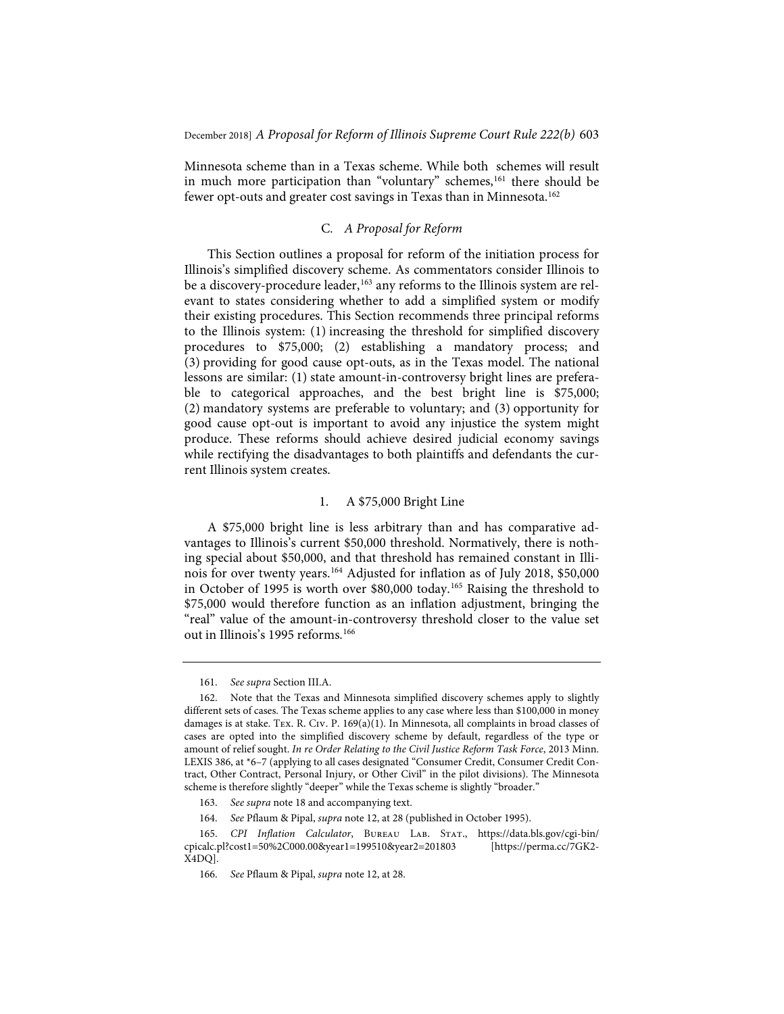Minnesota scheme than in a Texas scheme. While both schemes will result in much more participation than "voluntary" schemes,<sup>161</sup> there should be fewer opt-outs and greater cost savings in Texas than in Minnesota.<sup>162</sup>

#### C*. A Proposal for Reform*

This Section outlines a proposal for reform of the initiation process for Illinois's simplified discovery scheme. As commentators consider Illinois to be a discovery-procedure leader,<sup>163</sup> any reforms to the Illinois system are relevant to states considering whether to add a simplified system or modify their existing procedures. This Section recommends three principal reforms to the Illinois system: (1) increasing the threshold for simplified discovery procedures to \$75,000; (2) establishing a mandatory process; and (3) providing for good cause opt-outs, as in the Texas model. The national lessons are similar: (1) state amount-in-controversy bright lines are preferable to categorical approaches, and the best bright line is \$75,000; (2) mandatory systems are preferable to voluntary; and (3) opportunity for good cause opt-out is important to avoid any injustice the system might produce. These reforms should achieve desired judicial economy savings while rectifying the disadvantages to both plaintiffs and defendants the current Illinois system creates.

#### 1. A \$75,000 Bright Line

A \$75,000 bright line is less arbitrary than and has comparative advantages to Illinois's current \$50,000 threshold. Normatively, there is nothing special about \$50,000, and that threshold has remained constant in Illinois for over twenty years.164 Adjusted for inflation as of July 2018, \$50,000 in October of 1995 is worth over \$80,000 today.165 Raising the threshold to \$75,000 would therefore function as an inflation adjustment, bringing the "real" value of the amount-in-controversy threshold closer to the value set out in Illinois's 1995 reforms.<sup>166</sup>

<sup>161.</sup> *See supra* Section III.A.

<sup>162.</sup> Note that the Texas and Minnesota simplified discovery schemes apply to slightly different sets of cases. The Texas scheme applies to any case where less than \$100,000 in money damages is at stake. Tex. R. Civ. P. 169(a)(1). In Minnesota, all complaints in broad classes of cases are opted into the simplified discovery scheme by default, regardless of the type or amount of relief sought. *In re Order Relating to the Civil Justice Reform Task Force*, 2013 Minn. LEXIS 386, at \*6–7 (applying to all cases designated "Consumer Credit, Consumer Credit Contract, Other Contract, Personal Injury, or Other Civil" in the pilot divisions). The Minnesota scheme is therefore slightly "deeper" while the Texas scheme is slightly "broader."

<sup>163.</sup> *See supra* note 18 and accompanying text.

<sup>164.</sup> *See* Pflaum & Pipal, *supra* note 12, at 28 (published in October 1995).

<sup>165.</sup> *CPI Inflation Calculator*, Bureau Lab. Stat., https://data.bls.gov/cgi-bin/ cpicalc.pl?cost1=50%2C000.00&year1=199510&year2=201803 [https://perma.cc/7GK2- X4DQ].

<sup>166.</sup> *See* Pflaum & Pipal, *supra* note 12, at 28.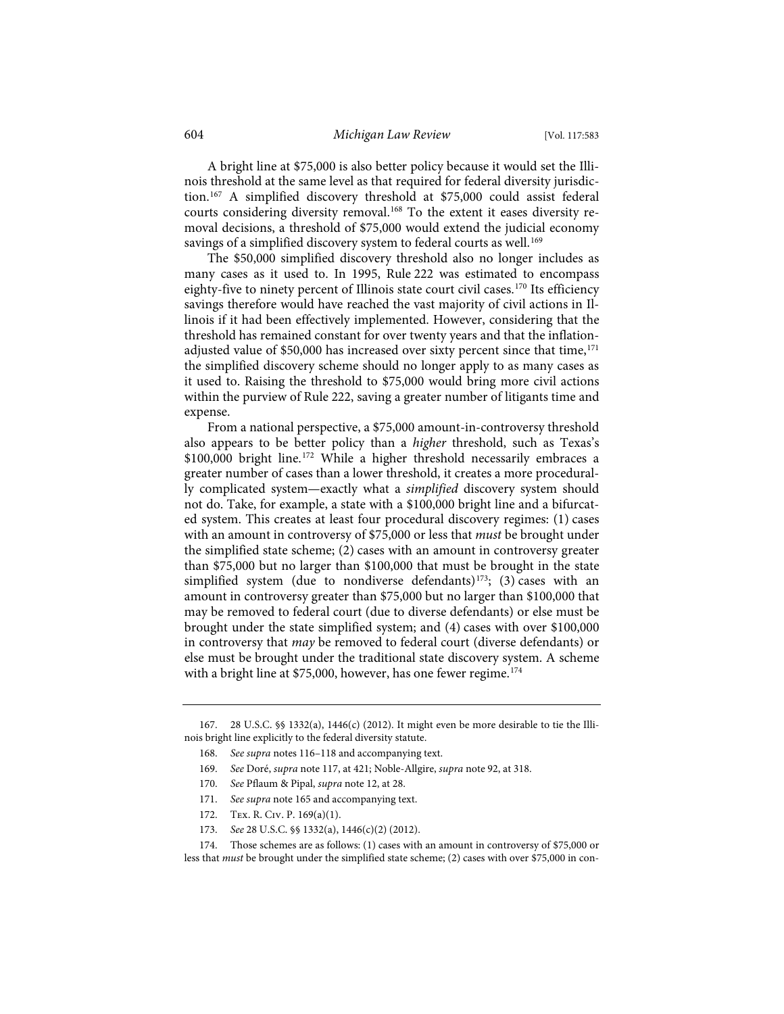A bright line at \$75,000 is also better policy because it would set the Illinois threshold at the same level as that required for federal diversity jurisdiction.167 A simplified discovery threshold at \$75,000 could assist federal courts considering diversity removal.168 To the extent it eases diversity removal decisions, a threshold of \$75,000 would extend the judicial economy savings of a simplified discovery system to federal courts as well.<sup>169</sup>

The \$50,000 simplified discovery threshold also no longer includes as many cases as it used to. In 1995, Rule 222 was estimated to encompass eighty-five to ninety percent of Illinois state court civil cases.<sup>170</sup> Its efficiency savings therefore would have reached the vast majority of civil actions in Illinois if it had been effectively implemented. However, considering that the threshold has remained constant for over twenty years and that the inflationadjusted value of \$50,000 has increased over sixty percent since that time, $171$ the simplified discovery scheme should no longer apply to as many cases as it used to. Raising the threshold to \$75,000 would bring more civil actions within the purview of Rule 222, saving a greater number of litigants time and expense.

From a national perspective, a \$75,000 amount-in-controversy threshold also appears to be better policy than a *higher* threshold, such as Texas's \$100,000 bright line.<sup>172</sup> While a higher threshold necessarily embraces a greater number of cases than a lower threshold, it creates a more procedurally complicated system—exactly what a *simplified* discovery system should not do. Take, for example, a state with a \$100,000 bright line and a bifurcated system. This creates at least four procedural discovery regimes: (1) cases with an amount in controversy of \$75,000 or less that *must* be brought under the simplified state scheme; (2) cases with an amount in controversy greater than \$75,000 but no larger than \$100,000 that must be brought in the state simplified system (due to nondiverse defendants)<sup>173</sup>; (3) cases with an amount in controversy greater than \$75,000 but no larger than \$100,000 that may be removed to federal court (due to diverse defendants) or else must be brought under the state simplified system; and (4) cases with over \$100,000 in controversy that *may* be removed to federal court (diverse defendants) or else must be brought under the traditional state discovery system. A scheme with a bright line at \$75,000, however, has one fewer regime.<sup>174</sup>

- 170. *See* Pflaum & Pipal, *supra* note 12, at 28.
- 171. *See supra* note 165 and accompanying text.
- 172. Tex. R. Civ. P. 169(a)(1).
- 173. *See* 28 U.S.C. §§ 1332(a), 1446(c)(2) (2012).

<sup>167. 28</sup> U.S.C. §§ 1332(a), 1446(c) (2012). It might even be more desirable to tie the Illinois bright line explicitly to the federal diversity statute.

<sup>168.</sup> *See supra* notes 116–118 and accompanying text.

<sup>169.</sup> *See* Doré, *supra* note 117, at 421; Noble-Allgire, *supra* note 92, at 318.

<sup>174.</sup> Those schemes are as follows: (1) cases with an amount in controversy of \$75,000 or less that *must* be brought under the simplified state scheme; (2) cases with over \$75,000 in con-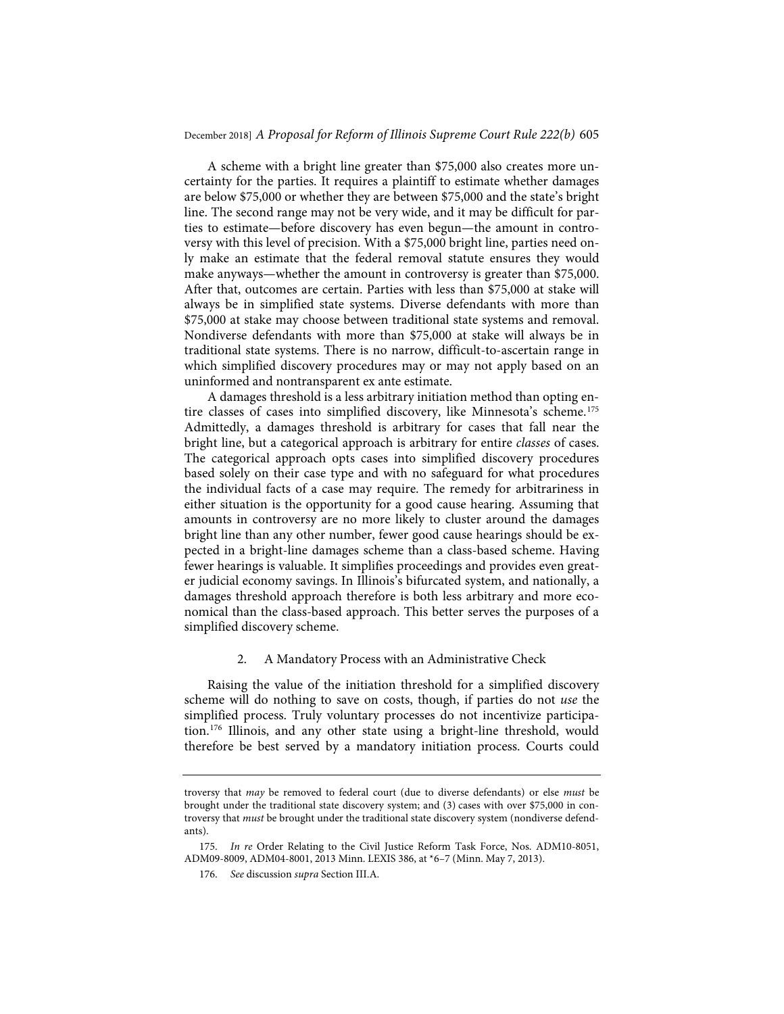A scheme with a bright line greater than \$75,000 also creates more uncertainty for the parties. It requires a plaintiff to estimate whether damages are below \$75,000 or whether they are between \$75,000 and the state's bright line. The second range may not be very wide, and it may be difficult for parties to estimate—before discovery has even begun—the amount in controversy with this level of precision. With a \$75,000 bright line, parties need only make an estimate that the federal removal statute ensures they would make anyways—whether the amount in controversy is greater than \$75,000. After that, outcomes are certain. Parties with less than \$75,000 at stake will always be in simplified state systems. Diverse defendants with more than \$75,000 at stake may choose between traditional state systems and removal. Nondiverse defendants with more than \$75,000 at stake will always be in traditional state systems. There is no narrow, difficult-to-ascertain range in which simplified discovery procedures may or may not apply based on an uninformed and nontransparent ex ante estimate.

A damages threshold is a less arbitrary initiation method than opting entire classes of cases into simplified discovery, like Minnesota's scheme.175 Admittedly, a damages threshold is arbitrary for cases that fall near the bright line, but a categorical approach is arbitrary for entire *classes* of cases. The categorical approach opts cases into simplified discovery procedures based solely on their case type and with no safeguard for what procedures the individual facts of a case may require. The remedy for arbitrariness in either situation is the opportunity for a good cause hearing. Assuming that amounts in controversy are no more likely to cluster around the damages bright line than any other number, fewer good cause hearings should be expected in a bright-line damages scheme than a class-based scheme. Having fewer hearings is valuable. It simplifies proceedings and provides even greater judicial economy savings. In Illinois's bifurcated system, and nationally, a damages threshold approach therefore is both less arbitrary and more economical than the class-based approach. This better serves the purposes of a simplified discovery scheme.

#### 2. A Mandatory Process with an Administrative Check

Raising the value of the initiation threshold for a simplified discovery scheme will do nothing to save on costs, though, if parties do not *use* the simplified process. Truly voluntary processes do not incentivize participation.176 Illinois, and any other state using a bright-line threshold, would therefore be best served by a mandatory initiation process. Courts could

troversy that *may* be removed to federal court (due to diverse defendants) or else *must* be brought under the traditional state discovery system; and (3) cases with over \$75,000 in controversy that *must* be brought under the traditional state discovery system (nondiverse defendants).

<sup>175.</sup> *In re* Order Relating to the Civil Justice Reform Task Force, Nos. ADM10-8051, ADM09-8009, ADM04-8001, 2013 Minn. LEXIS 386, at \*6–7 (Minn. May 7, 2013).

<sup>176.</sup> *See* discussion *supra* Section III.A.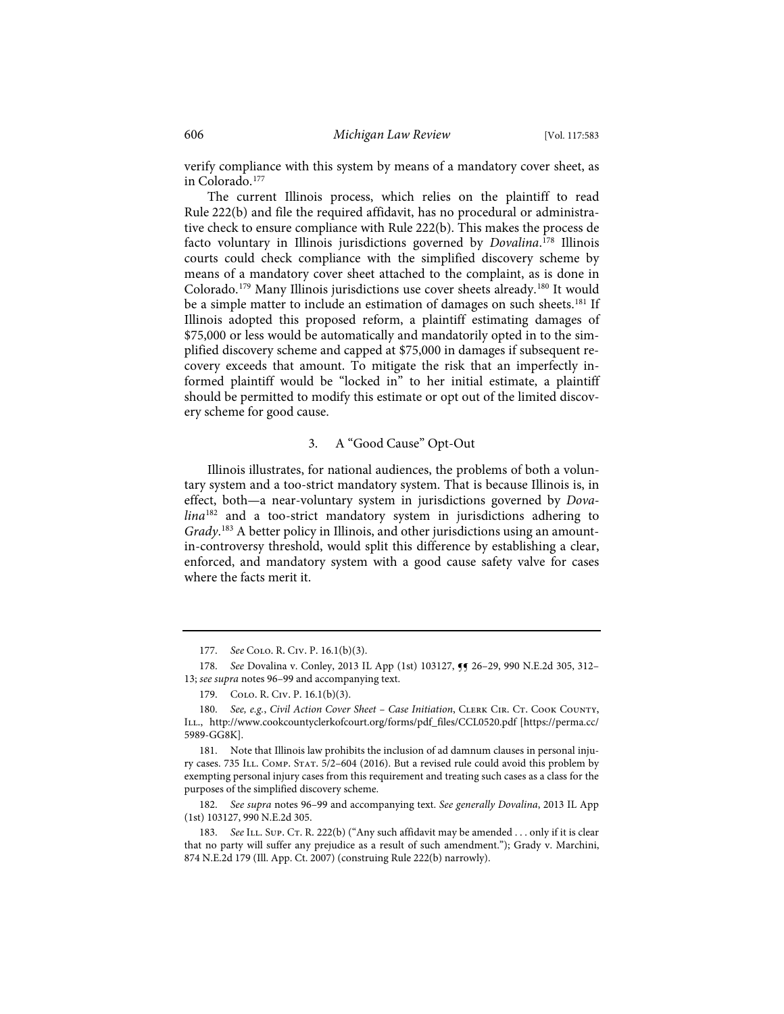verify compliance with this system by means of a mandatory cover sheet, as in Colorado.177

The current Illinois process, which relies on the plaintiff to read Rule 222(b) and file the required affidavit, has no procedural or administrative check to ensure compliance with Rule 222(b). This makes the process de facto voluntary in Illinois jurisdictions governed by *Dovalina*. <sup>178</sup> Illinois courts could check compliance with the simplified discovery scheme by means of a mandatory cover sheet attached to the complaint, as is done in Colorado.179 Many Illinois jurisdictions use cover sheets already.180 It would be a simple matter to include an estimation of damages on such sheets.<sup>181</sup> If Illinois adopted this proposed reform, a plaintiff estimating damages of \$75,000 or less would be automatically and mandatorily opted in to the simplified discovery scheme and capped at \$75,000 in damages if subsequent recovery exceeds that amount. To mitigate the risk that an imperfectly informed plaintiff would be "locked in" to her initial estimate, a plaintiff should be permitted to modify this estimate or opt out of the limited discovery scheme for good cause.

#### 3. A "Good Cause" Opt-Out

Illinois illustrates, for national audiences, the problems of both a voluntary system and a too-strict mandatory system. That is because Illinois is, in effect, both—a near-voluntary system in jurisdictions governed by *Dovalina*<sup>182</sup> and a too-strict mandatory system in jurisdictions adhering to *Grady*. <sup>183</sup> A better policy in Illinois, and other jurisdictions using an amountin-controversy threshold, would split this difference by establishing a clear, enforced, and mandatory system with a good cause safety valve for cases where the facts merit it.

182. *See supra* notes 96–99 and accompanying text. *See generally Dovalina*, 2013 IL App (1st) 103127, 990 N.E.2d 305.

<sup>177.</sup> *See* Colo. R. Civ. P. 16.1(b)(3).

<sup>178.</sup> *See* Dovalina v. Conley, 2013 IL App (1st) 103127,  $\P$  26–29, 990 N.E.2d 305, 312– 13; *see supra* notes 96–99 and accompanying text.

<sup>179.</sup> Colo. R. Civ. P. 16.1(b)(3).

<sup>180.</sup> See, e.g., Civil Action Cover Sheet - Case Initiation, CLERK CIR. CT. COOK COUNTY, Ill., http://www.cookcountyclerkofcourt.org/forms/pdf\_files/CCL0520.pdf [https://perma.cc/ 5989-GG8K].

<sup>181.</sup> Note that Illinois law prohibits the inclusion of ad damnum clauses in personal injury cases. 735 ILL. COMP. STAT. 5/2-604 (2016). But a revised rule could avoid this problem by exempting personal injury cases from this requirement and treating such cases as a class for the purposes of the simplified discovery scheme.

<sup>183.</sup> See ILL. Sup. CT. R. 222(b) ("Any such affidavit may be amended . . . only if it is clear that no party will suffer any prejudice as a result of such amendment."); Grady v. Marchini, 874 N.E.2d 179 (Ill. App. Ct. 2007) (construing Rule 222(b) narrowly).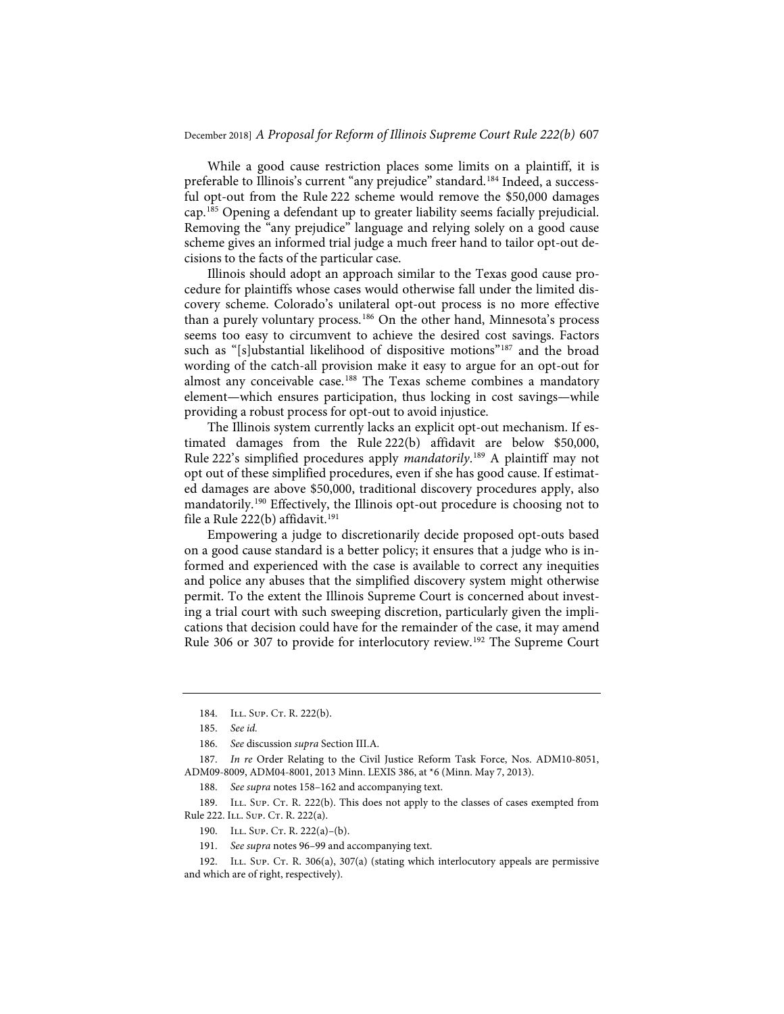While a good cause restriction places some limits on a plaintiff, it is preferable to Illinois's current "any prejudice" standard.<sup>184</sup> Indeed, a successful opt-out from the Rule 222 scheme would remove the \$50,000 damages cap.185 Opening a defendant up to greater liability seems facially prejudicial. Removing the "any prejudice" language and relying solely on a good cause scheme gives an informed trial judge a much freer hand to tailor opt-out decisions to the facts of the particular case.

Illinois should adopt an approach similar to the Texas good cause procedure for plaintiffs whose cases would otherwise fall under the limited discovery scheme. Colorado's unilateral opt-out process is no more effective than a purely voluntary process.<sup>186</sup> On the other hand, Minnesota's process seems too easy to circumvent to achieve the desired cost savings. Factors such as "[s]ubstantial likelihood of dispositive motions"<sup>187</sup> and the broad wording of the catch-all provision make it easy to argue for an opt-out for almost any conceivable case.<sup>188</sup> The Texas scheme combines a mandatory element—which ensures participation, thus locking in cost savings—while providing a robust process for opt-out to avoid injustice.

The Illinois system currently lacks an explicit opt-out mechanism. If estimated damages from the Rule 222(b) affidavit are below \$50,000, Rule 222's simplified procedures apply *mandatorily*. <sup>189</sup> A plaintiff may not opt out of these simplified procedures, even if she has good cause. If estimated damages are above \$50,000, traditional discovery procedures apply, also mandatorily.190 Effectively, the Illinois opt-out procedure is choosing not to file a Rule 222(b) affidavit.191

Empowering a judge to discretionarily decide proposed opt-outs based on a good cause standard is a better policy; it ensures that a judge who is informed and experienced with the case is available to correct any inequities and police any abuses that the simplified discovery system might otherwise permit. To the extent the Illinois Supreme Court is concerned about investing a trial court with such sweeping discretion, particularly given the implications that decision could have for the remainder of the case, it may amend Rule 306 or 307 to provide for interlocutory review.192 The Supreme Court

189. ILL. SUP. CT. R. 222(b). This does not apply to the classes of cases exempted from Rule 222. ILL. SUP. CT. R. 222(a).

<sup>184.</sup> ILL. SUP. CT. R. 222(b).

<sup>185.</sup> *See id.*

<sup>186.</sup> *See* discussion *supra* Section III.A.

<sup>187.</sup> *In re* Order Relating to the Civil Justice Reform Task Force, Nos. ADM10-8051, ADM09-8009, ADM04-8001, 2013 Minn. LEXIS 386, at \*6 (Minn. May 7, 2013).

<sup>188.</sup> *See supra* notes 158–162 and accompanying text.

<sup>190.</sup> ILL. SUP. CT. R. 222(a)-(b).

<sup>191.</sup> *See supra* notes 96–99 and accompanying text.

<sup>192.</sup> ILL. Sup. Cr. R. 306(a), 307(a) (stating which interlocutory appeals are permissive and which are of right, respectively).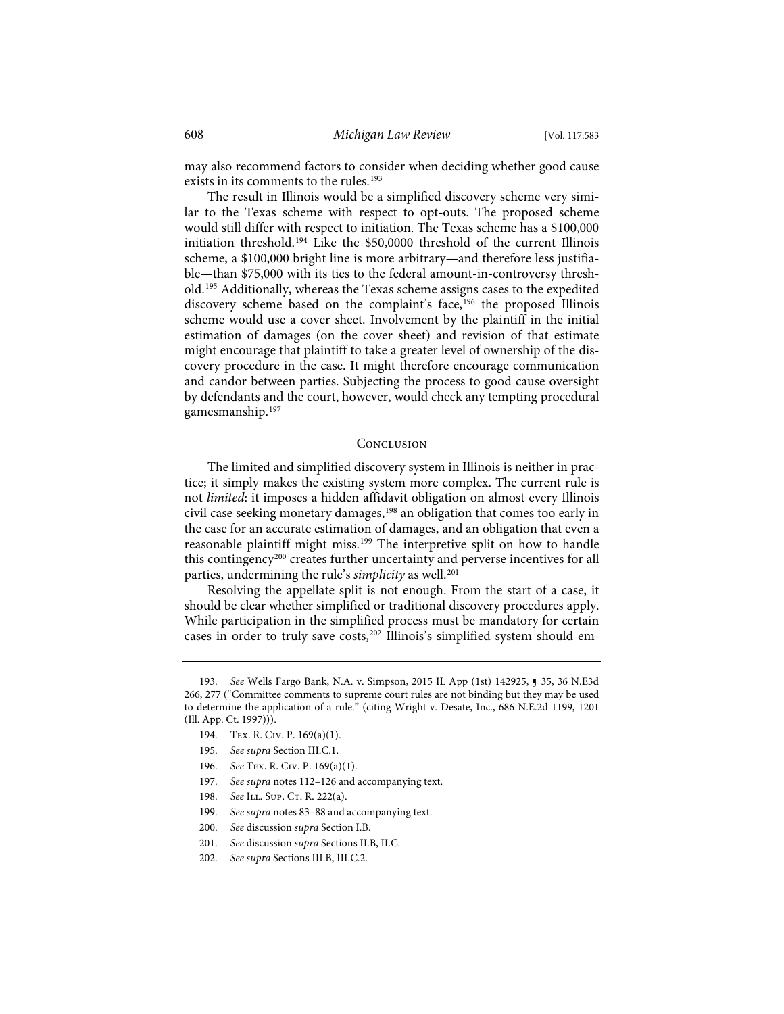may also recommend factors to consider when deciding whether good cause exists in its comments to the rules.<sup>193</sup>

The result in Illinois would be a simplified discovery scheme very similar to the Texas scheme with respect to opt-outs. The proposed scheme would still differ with respect to initiation. The Texas scheme has a \$100,000 initiation threshold.194 Like the \$50,0000 threshold of the current Illinois scheme, a \$100,000 bright line is more arbitrary—and therefore less justifiable—than \$75,000 with its ties to the federal amount-in-controversy threshold.195 Additionally, whereas the Texas scheme assigns cases to the expedited discovery scheme based on the complaint's face,<sup>196</sup> the proposed Illinois scheme would use a cover sheet. Involvement by the plaintiff in the initial estimation of damages (on the cover sheet) and revision of that estimate might encourage that plaintiff to take a greater level of ownership of the discovery procedure in the case. It might therefore encourage communication and candor between parties. Subjecting the process to good cause oversight by defendants and the court, however, would check any tempting procedural gamesmanship.197

#### **CONCLUSION**

The limited and simplified discovery system in Illinois is neither in practice; it simply makes the existing system more complex. The current rule is not *limited*: it imposes a hidden affidavit obligation on almost every Illinois civil case seeking monetary damages,<sup>198</sup> an obligation that comes too early in the case for an accurate estimation of damages, and an obligation that even a reasonable plaintiff might miss.<sup>199</sup> The interpretive split on how to handle this contingency<sup>200</sup> creates further uncertainty and perverse incentives for all parties, undermining the rule's *simplicity* as well.<sup>201</sup>

Resolving the appellate split is not enough. From the start of a case, it should be clear whether simplified or traditional discovery procedures apply. While participation in the simplified process must be mandatory for certain cases in order to truly save costs,<sup>202</sup> Illinois's simplified system should em-

- 196. *See* Tex. R. Civ. P. 169(a)(1).
- 197. *See supra* notes 112–126 and accompanying text.
- 198. *See* ILL. SUP. CT. R. 222(a).
- 199. *See supra* notes 83–88 and accompanying text.
- 200. *See* discussion *supra* Section I.B.
- 201. *See* discussion *supra* Sections II.B, II.C.
- 202. *See supra* Sections III.B, III.C.2.

<sup>193.</sup> *See* Wells Fargo Bank, N.A. v. Simpson, 2015 IL App (1st) 142925, ¶ 35, 36 N.E3d 266, 277 ("Committee comments to supreme court rules are not binding but they may be used to determine the application of a rule." (citing Wright v. Desate, Inc., 686 N.E.2d 1199, 1201 (Ill. App. Ct. 1997))).

<sup>194.</sup> Tex. R. Civ. P. 169(a)(1).

<sup>195.</sup> *See supra* Section III.C.1.